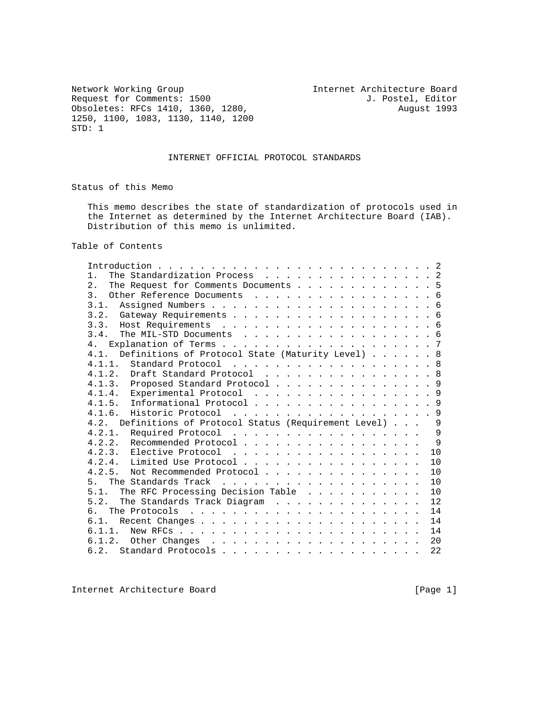Network Working Group<br>
Request for Comments: 1500 1. Postel, Editor<br>
J. Postel, Editor Request for Comments: 1500<br>
Obsoletes: RFCs 1410, 1360, 1280, 1280, 1280, 2000, 2001 Obsoletes: RFCs 1410, 1360, 1280, 1250, 1100, 1083, 1130, 1140, 1200 STD: 1

## INTERNET OFFICIAL PROTOCOL STANDARDS

Status of this Memo

 This memo describes the state of standardization of protocols used in the Internet as determined by the Internet Architecture Board (IAB). Distribution of this memo is unlimited.

Table of Contents

| The Standardization Process 2<br>1.                              |  |  |     |
|------------------------------------------------------------------|--|--|-----|
| 2.<br>The Request for Comments Documents 5                       |  |  |     |
| 3 <sub>1</sub><br>Other Reference Documents 6                    |  |  |     |
| 3.1.                                                             |  |  |     |
|                                                                  |  |  |     |
|                                                                  |  |  |     |
| 3.4.<br>The MIL-STD Documents 6                                  |  |  |     |
| 4.                                                               |  |  |     |
| Definitions of Protocol State (Maturity Level) 8<br>4.1.         |  |  |     |
| 4.1.1. Standard Protocol 8                                       |  |  |     |
| 4.1.2. Draft Standard Protocol 8                                 |  |  |     |
| 4.1.3. Proposed Standard Protocol 9                              |  |  |     |
| 4.1.4. Experimental Protocol 9                                   |  |  |     |
| 4.1.5. Informational Protocol 9                                  |  |  |     |
| 4.1.6.<br>Historic Protocol 9                                    |  |  |     |
| Definitions of Protocol Status (Requirement Level) 9<br>4.2.     |  |  |     |
| Required Protocol 9<br>4.2.1.                                    |  |  |     |
| 4.2.2. Recommended Protocol                                      |  |  | - 9 |
|                                                                  |  |  | 10  |
| 4.2.4. Limited Use Protocol                                      |  |  | 10  |
| Not Recommended Protocol<br>4.2.5.                               |  |  | 10  |
| 5 <sub>1</sub>                                                   |  |  | 10  |
| The RFC Processing Decision Table<br>5.1.                        |  |  | 10  |
| The Standards Track Diagram<br>5 2                               |  |  | 12  |
| The Protocols $\ldots \ldots \ldots \ldots \ldots \ldots \ldots$ |  |  | 14  |
| 6.1.                                                             |  |  | 14  |
| 6.1.1.                                                           |  |  | 14  |
|                                                                  |  |  | 20  |
|                                                                  |  |  | 22  |
|                                                                  |  |  |     |

Internet Architecture Board [Page 1]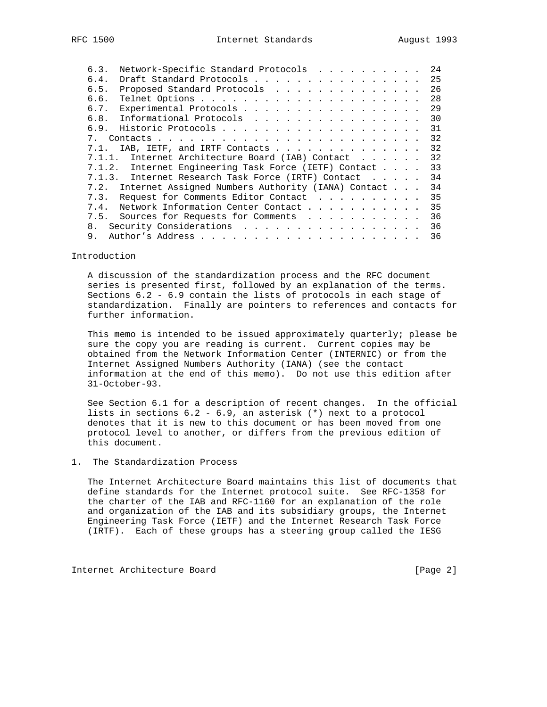| 6.3.         |      |  | 24                                                                                                                                                                                                                                                                                                                                                                                                                                                                                                                                            |
|--------------|------|--|-----------------------------------------------------------------------------------------------------------------------------------------------------------------------------------------------------------------------------------------------------------------------------------------------------------------------------------------------------------------------------------------------------------------------------------------------------------------------------------------------------------------------------------------------|
| 6.4.         |      |  | 25                                                                                                                                                                                                                                                                                                                                                                                                                                                                                                                                            |
| 6.5.         |      |  | 26                                                                                                                                                                                                                                                                                                                                                                                                                                                                                                                                            |
| 6.6.         |      |  | 28                                                                                                                                                                                                                                                                                                                                                                                                                                                                                                                                            |
| 6.7.         |      |  | 29                                                                                                                                                                                                                                                                                                                                                                                                                                                                                                                                            |
|              |      |  | 30                                                                                                                                                                                                                                                                                                                                                                                                                                                                                                                                            |
|              |      |  | 31                                                                                                                                                                                                                                                                                                                                                                                                                                                                                                                                            |
| $7_{\ldots}$ |      |  | 32                                                                                                                                                                                                                                                                                                                                                                                                                                                                                                                                            |
| 7.1.         |      |  | 32                                                                                                                                                                                                                                                                                                                                                                                                                                                                                                                                            |
|              |      |  | 32                                                                                                                                                                                                                                                                                                                                                                                                                                                                                                                                            |
|              |      |  | 33                                                                                                                                                                                                                                                                                                                                                                                                                                                                                                                                            |
|              |      |  | 34                                                                                                                                                                                                                                                                                                                                                                                                                                                                                                                                            |
|              |      |  | 34                                                                                                                                                                                                                                                                                                                                                                                                                                                                                                                                            |
|              |      |  | 35                                                                                                                                                                                                                                                                                                                                                                                                                                                                                                                                            |
| 7.4.         |      |  | 35                                                                                                                                                                                                                                                                                                                                                                                                                                                                                                                                            |
|              |      |  | 36                                                                                                                                                                                                                                                                                                                                                                                                                                                                                                                                            |
|              |      |  | 36                                                                                                                                                                                                                                                                                                                                                                                                                                                                                                                                            |
| 9.           |      |  | 36                                                                                                                                                                                                                                                                                                                                                                                                                                                                                                                                            |
|              | 7.3. |  | Network-Specific Standard Protocols<br>Draft Standard Protocols<br>Proposed Standard Protocols<br>Experimental Protocols<br>6.8. Informational Protocols<br>IAB, IETF, and IRTF Contacts<br>7.1.1. Internet Architecture Board (IAB) Contact<br>7.1.2. Internet Engineering Task Force (IETF) Contact<br>7.1.3. Internet Research Task Force (IRTF) Contact<br>7.2. Internet Assigned Numbers Authority (IANA) Contact<br>Request for Comments Editor Contact<br>Network Information Center Contact<br>7.5. Sources for Requests for Comments |

Introduction

 A discussion of the standardization process and the RFC document series is presented first, followed by an explanation of the terms. Sections 6.2 - 6.9 contain the lists of protocols in each stage of standardization. Finally are pointers to references and contacts for further information.

 This memo is intended to be issued approximately quarterly; please be sure the copy you are reading is current. Current copies may be obtained from the Network Information Center (INTERNIC) or from the Internet Assigned Numbers Authority (IANA) (see the contact information at the end of this memo). Do not use this edition after 31-October-93.

 See Section 6.1 for a description of recent changes. In the official lists in sections 6.2 - 6.9, an asterisk (\*) next to a protocol denotes that it is new to this document or has been moved from one protocol level to another, or differs from the previous edition of this document.

1. The Standardization Process

 The Internet Architecture Board maintains this list of documents that define standards for the Internet protocol suite. See RFC-1358 for the charter of the IAB and RFC-1160 for an explanation of the role and organization of the IAB and its subsidiary groups, the Internet Engineering Task Force (IETF) and the Internet Research Task Force (IRTF). Each of these groups has a steering group called the IESG

Internet Architecture Board [Page 2]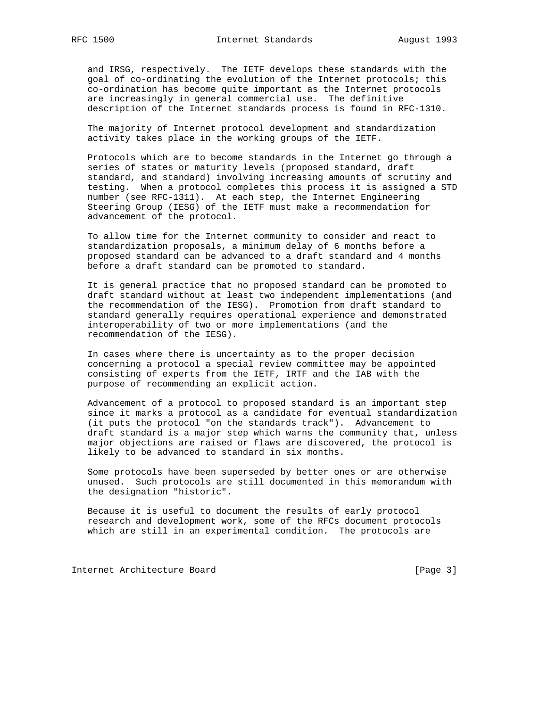and IRSG, respectively. The IETF develops these standards with the goal of co-ordinating the evolution of the Internet protocols; this co-ordination has become quite important as the Internet protocols are increasingly in general commercial use. The definitive description of the Internet standards process is found in RFC-1310.

 The majority of Internet protocol development and standardization activity takes place in the working groups of the IETF.

 Protocols which are to become standards in the Internet go through a series of states or maturity levels (proposed standard, draft standard, and standard) involving increasing amounts of scrutiny and testing. When a protocol completes this process it is assigned a STD number (see RFC-1311). At each step, the Internet Engineering Steering Group (IESG) of the IETF must make a recommendation for advancement of the protocol.

 To allow time for the Internet community to consider and react to standardization proposals, a minimum delay of 6 months before a proposed standard can be advanced to a draft standard and 4 months before a draft standard can be promoted to standard.

 It is general practice that no proposed standard can be promoted to draft standard without at least two independent implementations (and the recommendation of the IESG). Promotion from draft standard to standard generally requires operational experience and demonstrated interoperability of two or more implementations (and the recommendation of the IESG).

 In cases where there is uncertainty as to the proper decision concerning a protocol a special review committee may be appointed consisting of experts from the IETF, IRTF and the IAB with the purpose of recommending an explicit action.

 Advancement of a protocol to proposed standard is an important step since it marks a protocol as a candidate for eventual standardization (it puts the protocol "on the standards track"). Advancement to draft standard is a major step which warns the community that, unless major objections are raised or flaws are discovered, the protocol is likely to be advanced to standard in six months.

 Some protocols have been superseded by better ones or are otherwise unused. Such protocols are still documented in this memorandum with the designation "historic".

 Because it is useful to document the results of early protocol research and development work, some of the RFCs document protocols which are still in an experimental condition. The protocols are

Internet Architecture Board [Page 3]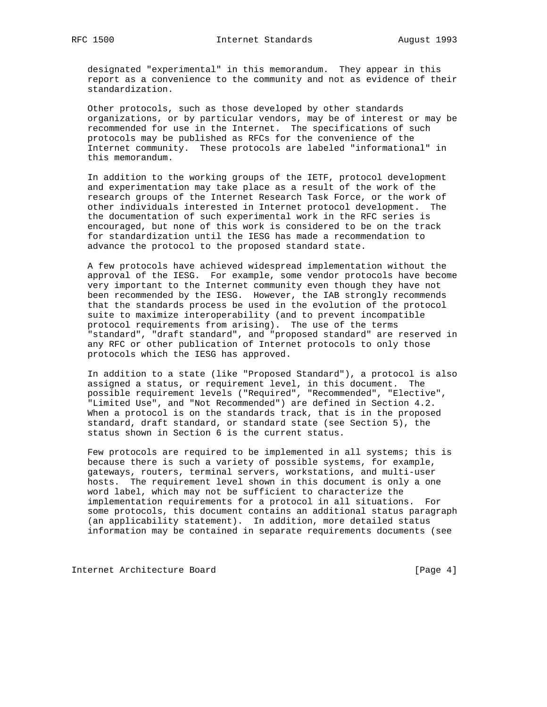designated "experimental" in this memorandum. They appear in this report as a convenience to the community and not as evidence of their standardization.

 Other protocols, such as those developed by other standards organizations, or by particular vendors, may be of interest or may be recommended for use in the Internet. The specifications of such protocols may be published as RFCs for the convenience of the Internet community. These protocols are labeled "informational" in this memorandum.

 In addition to the working groups of the IETF, protocol development and experimentation may take place as a result of the work of the research groups of the Internet Research Task Force, or the work of other individuals interested in Internet protocol development. The the documentation of such experimental work in the RFC series is encouraged, but none of this work is considered to be on the track for standardization until the IESG has made a recommendation to advance the protocol to the proposed standard state.

 A few protocols have achieved widespread implementation without the approval of the IESG. For example, some vendor protocols have become very important to the Internet community even though they have not been recommended by the IESG. However, the IAB strongly recommends that the standards process be used in the evolution of the protocol suite to maximize interoperability (and to prevent incompatible protocol requirements from arising). The use of the terms "standard", "draft standard", and "proposed standard" are reserved in any RFC or other publication of Internet protocols to only those protocols which the IESG has approved.

 In addition to a state (like "Proposed Standard"), a protocol is also assigned a status, or requirement level, in this document. The possible requirement levels ("Required", "Recommended", "Elective", "Limited Use", and "Not Recommended") are defined in Section 4.2. When a protocol is on the standards track, that is in the proposed standard, draft standard, or standard state (see Section 5), the status shown in Section 6 is the current status.

 Few protocols are required to be implemented in all systems; this is because there is such a variety of possible systems, for example, gateways, routers, terminal servers, workstations, and multi-user hosts. The requirement level shown in this document is only a one word label, which may not be sufficient to characterize the implementation requirements for a protocol in all situations. For some protocols, this document contains an additional status paragraph (an applicability statement). In addition, more detailed status information may be contained in separate requirements documents (see

Internet Architecture Board [Page 4]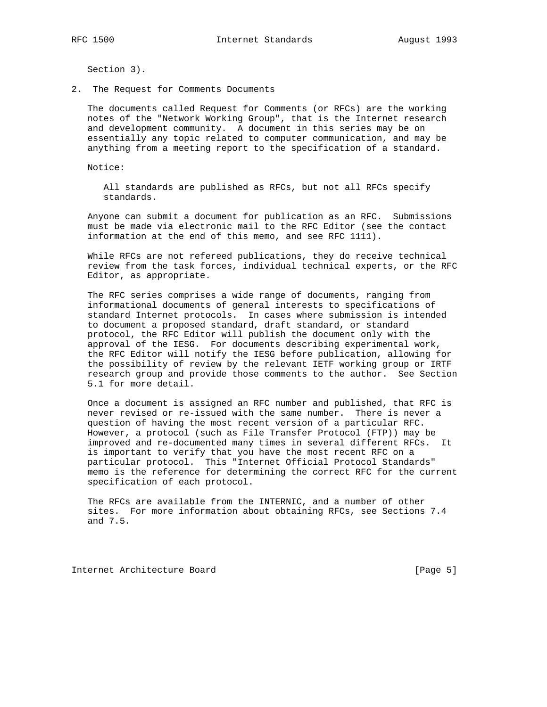Section 3).

2. The Request for Comments Documents

 The documents called Request for Comments (or RFCs) are the working notes of the "Network Working Group", that is the Internet research and development community. A document in this series may be on essentially any topic related to computer communication, and may be anything from a meeting report to the specification of a standard.

Notice:

 All standards are published as RFCs, but not all RFCs specify standards.

 Anyone can submit a document for publication as an RFC. Submissions must be made via electronic mail to the RFC Editor (see the contact information at the end of this memo, and see RFC 1111).

 While RFCs are not refereed publications, they do receive technical review from the task forces, individual technical experts, or the RFC Editor, as appropriate.

 The RFC series comprises a wide range of documents, ranging from informational documents of general interests to specifications of standard Internet protocols. In cases where submission is intended to document a proposed standard, draft standard, or standard protocol, the RFC Editor will publish the document only with the approval of the IESG. For documents describing experimental work, the RFC Editor will notify the IESG before publication, allowing for the possibility of review by the relevant IETF working group or IRTF research group and provide those comments to the author. See Section 5.1 for more detail.

 Once a document is assigned an RFC number and published, that RFC is never revised or re-issued with the same number. There is never a question of having the most recent version of a particular RFC. However, a protocol (such as File Transfer Protocol (FTP)) may be improved and re-documented many times in several different RFCs. It is important to verify that you have the most recent RFC on a particular protocol. This "Internet Official Protocol Standards" memo is the reference for determining the correct RFC for the current specification of each protocol.

 The RFCs are available from the INTERNIC, and a number of other sites. For more information about obtaining RFCs, see Sections 7.4 and 7.5.

Internet Architecture Board [Page 5]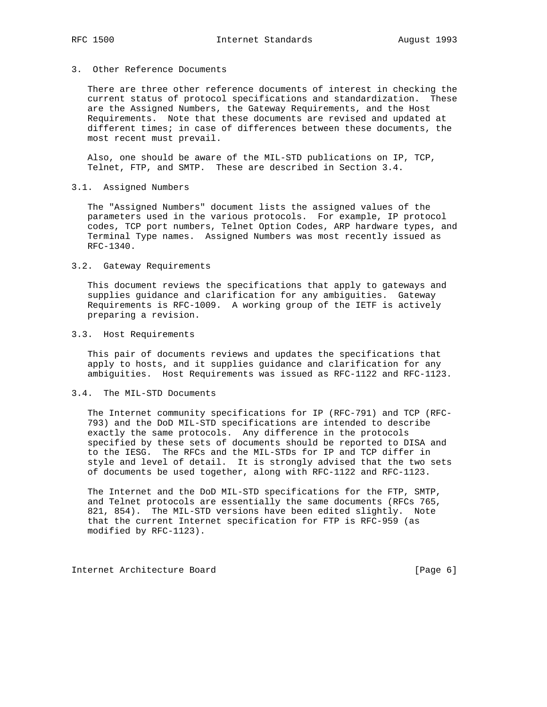## 3. Other Reference Documents

 There are three other reference documents of interest in checking the current status of protocol specifications and standardization. These are the Assigned Numbers, the Gateway Requirements, and the Host Requirements. Note that these documents are revised and updated at different times; in case of differences between these documents, the most recent must prevail.

 Also, one should be aware of the MIL-STD publications on IP, TCP, Telnet, FTP, and SMTP. These are described in Section 3.4.

## 3.1. Assigned Numbers

 The "Assigned Numbers" document lists the assigned values of the parameters used in the various protocols. For example, IP protocol codes, TCP port numbers, Telnet Option Codes, ARP hardware types, and Terminal Type names. Assigned Numbers was most recently issued as RFC-1340.

## 3.2. Gateway Requirements

 This document reviews the specifications that apply to gateways and supplies guidance and clarification for any ambiguities. Gateway Requirements is RFC-1009. A working group of the IETF is actively preparing a revision.

### 3.3. Host Requirements

 This pair of documents reviews and updates the specifications that apply to hosts, and it supplies guidance and clarification for any ambiguities. Host Requirements was issued as RFC-1122 and RFC-1123.

### 3.4. The MIL-STD Documents

 The Internet community specifications for IP (RFC-791) and TCP (RFC- 793) and the DoD MIL-STD specifications are intended to describe exactly the same protocols. Any difference in the protocols specified by these sets of documents should be reported to DISA and to the IESG. The RFCs and the MIL-STDs for IP and TCP differ in style and level of detail. It is strongly advised that the two sets of documents be used together, along with RFC-1122 and RFC-1123.

 The Internet and the DoD MIL-STD specifications for the FTP, SMTP, and Telnet protocols are essentially the same documents (RFCs 765, 821, 854). The MIL-STD versions have been edited slightly. Note that the current Internet specification for FTP is RFC-959 (as modified by RFC-1123).

Internet Architecture Board [Page 6]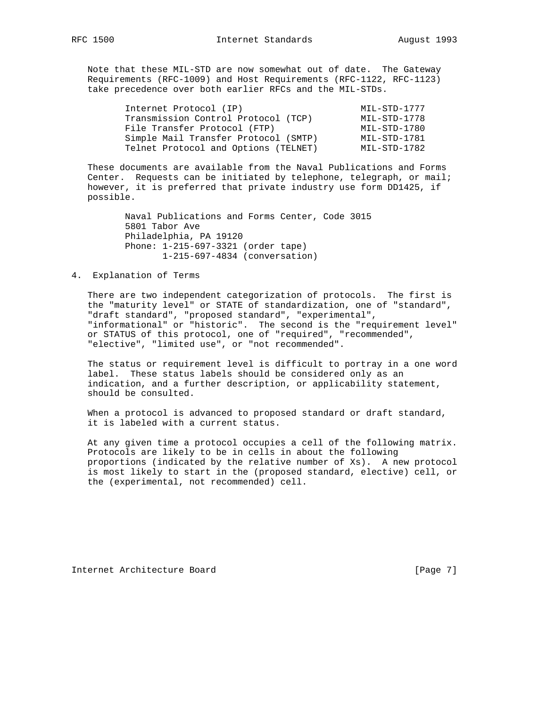Note that these MIL-STD are now somewhat out of date. The Gateway Requirements (RFC-1009) and Host Requirements (RFC-1122, RFC-1123) take precedence over both earlier RFCs and the MIL-STDs.

| Internet Protocol (IP)               | MIL-STD-1777 |
|--------------------------------------|--------------|
| Transmission Control Protocol (TCP)  | MIL-STD-1778 |
| File Transfer Protocol (FTP)         | MIL-STD-1780 |
| Simple Mail Transfer Protocol (SMTP) | MIL-STD-1781 |
| Telnet Protocol and Options (TELNET) | MIL-STD-1782 |

 These documents are available from the Naval Publications and Forms Center. Requests can be initiated by telephone, telegraph, or mail; however, it is preferred that private industry use form DD1425, if possible.

> Naval Publications and Forms Center, Code 3015 5801 Tabor Ave Philadelphia, PA 19120 Phone: 1-215-697-3321 (order tape) 1-215-697-4834 (conversation)

## 4. Explanation of Terms

 There are two independent categorization of protocols. The first is the "maturity level" or STATE of standardization, one of "standard", "draft standard", "proposed standard", "experimental", "informational" or "historic". The second is the "requirement level" or STATUS of this protocol, one of "required", "recommended", "elective", "limited use", or "not recommended".

 The status or requirement level is difficult to portray in a one word label. These status labels should be considered only as an indication, and a further description, or applicability statement, should be consulted.

When a protocol is advanced to proposed standard or draft standard, it is labeled with a current status.

 At any given time a protocol occupies a cell of the following matrix. Protocols are likely to be in cells in about the following proportions (indicated by the relative number of Xs). A new protocol is most likely to start in the (proposed standard, elective) cell, or the (experimental, not recommended) cell.

Internet Architecture Board [Page 7]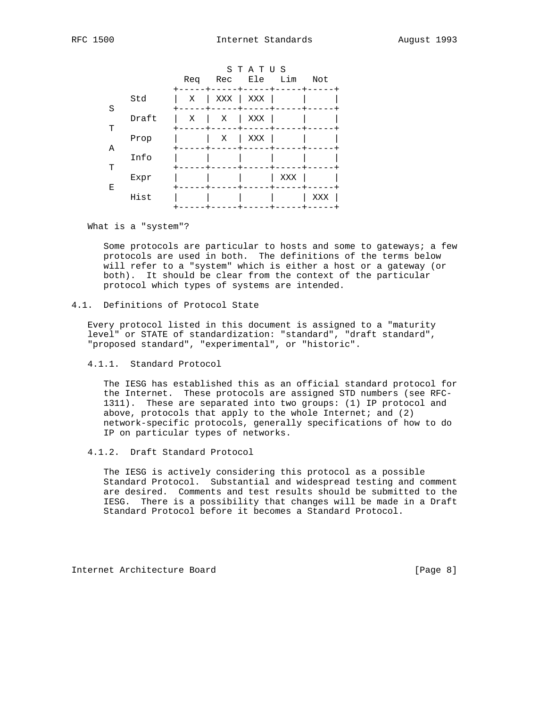|   |       | Req | Rec | STATUS<br>Ele | Lim | Not |
|---|-------|-----|-----|---------------|-----|-----|
| S | Std   | Χ   | XXX | XXX           |     |     |
| т | Draft | X   | Χ   | XXX           |     |     |
| Α | Prop  |     | Χ   | XXX           |     |     |
| т | Info  |     |     |               |     |     |
| Ε | Expr  |     |     |               | XXX |     |
|   | Hist  |     |     |               |     | XXX |

What is a "system"?

 Some protocols are particular to hosts and some to gateways; a few protocols are used in both. The definitions of the terms below will refer to a "system" which is either a host or a gateway (or both). It should be clear from the context of the particular protocol which types of systems are intended.

# 4.1. Definitions of Protocol State

 Every protocol listed in this document is assigned to a "maturity level" or STATE of standardization: "standard", "draft standard", "proposed standard", "experimental", or "historic".

4.1.1. Standard Protocol

 The IESG has established this as an official standard protocol for the Internet. These protocols are assigned STD numbers (see RFC- 1311). These are separated into two groups: (1) IP protocol and above, protocols that apply to the whole Internet; and  $(2)$  network-specific protocols, generally specifications of how to do IP on particular types of networks.

## 4.1.2. Draft Standard Protocol

 The IESG is actively considering this protocol as a possible Standard Protocol. Substantial and widespread testing and comment are desired. Comments and test results should be submitted to the IESG. There is a possibility that changes will be made in a Draft Standard Protocol before it becomes a Standard Protocol.

Internet Architecture Board [Page 8]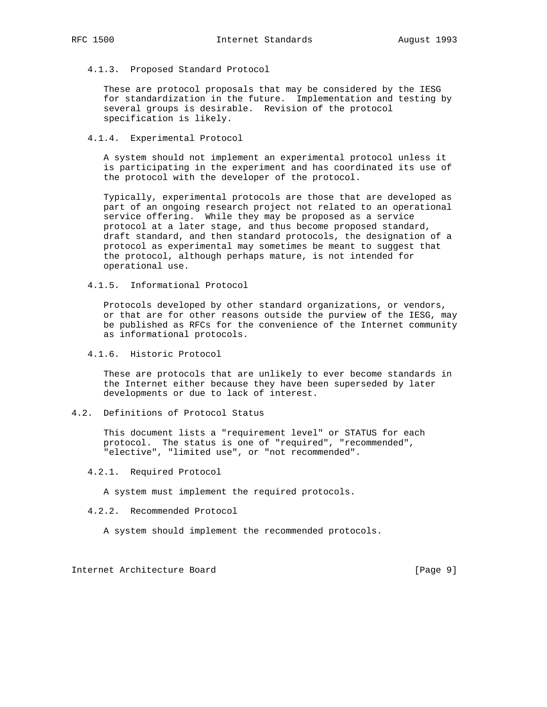4.1.3. Proposed Standard Protocol

 These are protocol proposals that may be considered by the IESG for standardization in the future. Implementation and testing by several groups is desirable. Revision of the protocol specification is likely.

4.1.4. Experimental Protocol

 A system should not implement an experimental protocol unless it is participating in the experiment and has coordinated its use of the protocol with the developer of the protocol.

 Typically, experimental protocols are those that are developed as part of an ongoing research project not related to an operational service offering. While they may be proposed as a service protocol at a later stage, and thus become proposed standard, draft standard, and then standard protocols, the designation of a protocol as experimental may sometimes be meant to suggest that the protocol, although perhaps mature, is not intended for operational use.

4.1.5. Informational Protocol

 Protocols developed by other standard organizations, or vendors, or that are for other reasons outside the purview of the IESG, may be published as RFCs for the convenience of the Internet community as informational protocols.

4.1.6. Historic Protocol

 These are protocols that are unlikely to ever become standards in the Internet either because they have been superseded by later developments or due to lack of interest.

4.2. Definitions of Protocol Status

 This document lists a "requirement level" or STATUS for each protocol. The status is one of "required", "recommended", "elective", "limited use", or "not recommended".

4.2.1. Required Protocol

A system must implement the required protocols.

4.2.2. Recommended Protocol

A system should implement the recommended protocols.

Internet Architecture Board [Page 9]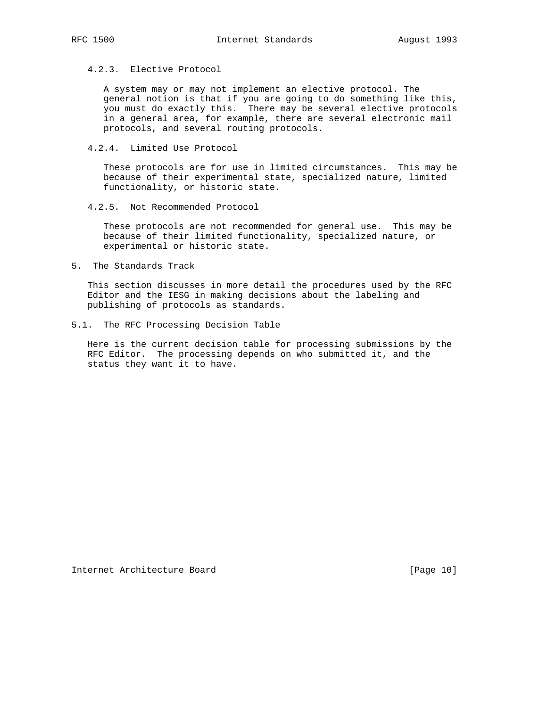# 4.2.3. Elective Protocol

 A system may or may not implement an elective protocol. The general notion is that if you are going to do something like this, you must do exactly this. There may be several elective protocols in a general area, for example, there are several electronic mail protocols, and several routing protocols.

4.2.4. Limited Use Protocol

 These protocols are for use in limited circumstances. This may be because of their experimental state, specialized nature, limited functionality, or historic state.

4.2.5. Not Recommended Protocol

 These protocols are not recommended for general use. This may be because of their limited functionality, specialized nature, or experimental or historic state.

5. The Standards Track

 This section discusses in more detail the procedures used by the RFC Editor and the IESG in making decisions about the labeling and publishing of protocols as standards.

5.1. The RFC Processing Decision Table

 Here is the current decision table for processing submissions by the RFC Editor. The processing depends on who submitted it, and the status they want it to have.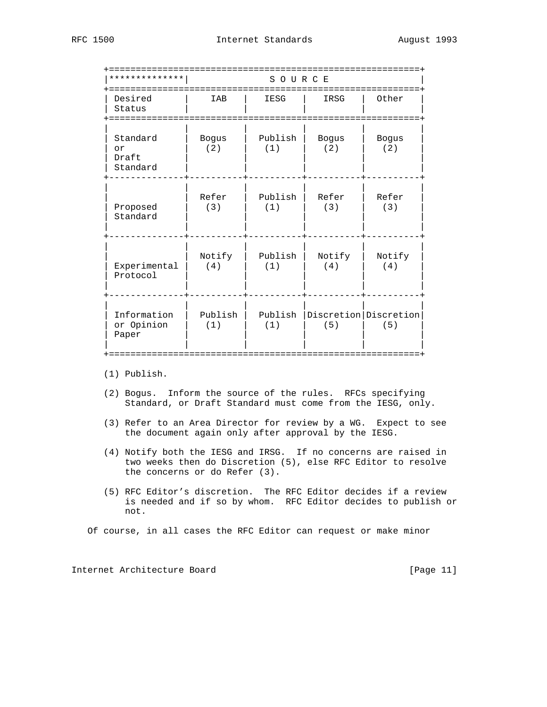| * * * * * * * * * * *               |                     | SOURCE            |                     |                                  |
|-------------------------------------|---------------------|-------------------|---------------------|----------------------------------|
| Desired<br>Status<br>===========    | IAB                 | =========<br>IESG | IRSG                | Other                            |
| Standard<br>or<br>Draft<br>Standard | <b>Bogus</b><br>(2) | Publish<br>(1)    | <b>Bogus</b><br>(2) | <b>Bogus</b><br>(2)              |
| Proposed<br>Standard                | Refer<br>(3)        | Publish<br>(1)    | Refer<br>(3)        | Refer<br>(3)                     |
| Experimental<br>Protocol            | Notify<br>(4)       | Publish<br>(1)    | Notify<br>(4)       | Notify<br>(4)                    |
| Information<br>or Opinion<br>Paper  | Publish<br>(1)      | Publish<br>(1)    | (5)                 | Discretion   Discretion  <br>(5) |

(1) Publish.

- (2) Bogus. Inform the source of the rules. RFCs specifying Standard, or Draft Standard must come from the IESG, only.
- (3) Refer to an Area Director for review by a WG. Expect to see the document again only after approval by the IESG.
- (4) Notify both the IESG and IRSG. If no concerns are raised in two weeks then do Discretion (5), else RFC Editor to resolve the concerns or do Refer (3).
- (5) RFC Editor's discretion. The RFC Editor decides if a review is needed and if so by whom. RFC Editor decides to publish or not.

Of course, in all cases the RFC Editor can request or make minor

Internet Architecture Board [Page 11]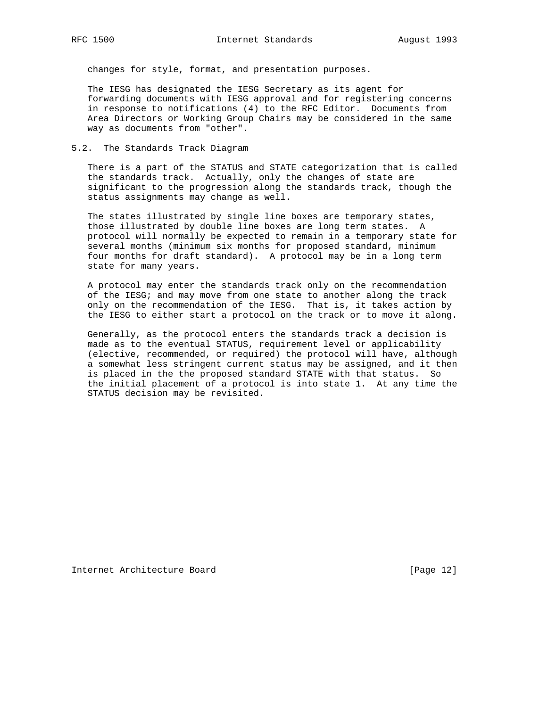changes for style, format, and presentation purposes.

 The IESG has designated the IESG Secretary as its agent for forwarding documents with IESG approval and for registering concerns in response to notifications (4) to the RFC Editor. Documents from Area Directors or Working Group Chairs may be considered in the same way as documents from "other".

#### 5.2. The Standards Track Diagram

 There is a part of the STATUS and STATE categorization that is called the standards track. Actually, only the changes of state are significant to the progression along the standards track, though the status assignments may change as well.

 The states illustrated by single line boxes are temporary states, those illustrated by double line boxes are long term states. A protocol will normally be expected to remain in a temporary state for several months (minimum six months for proposed standard, minimum four months for draft standard). A protocol may be in a long term state for many years.

 A protocol may enter the standards track only on the recommendation of the IESG; and may move from one state to another along the track only on the recommendation of the IESG. That is, it takes action by the IESG to either start a protocol on the track or to move it along.

 Generally, as the protocol enters the standards track a decision is made as to the eventual STATUS, requirement level or applicability (elective, recommended, or required) the protocol will have, although a somewhat less stringent current status may be assigned, and it then is placed in the the proposed standard STATE with that status. So the initial placement of a protocol is into state 1. At any time the STATUS decision may be revisited.

Internet Architecture Board [Page 12]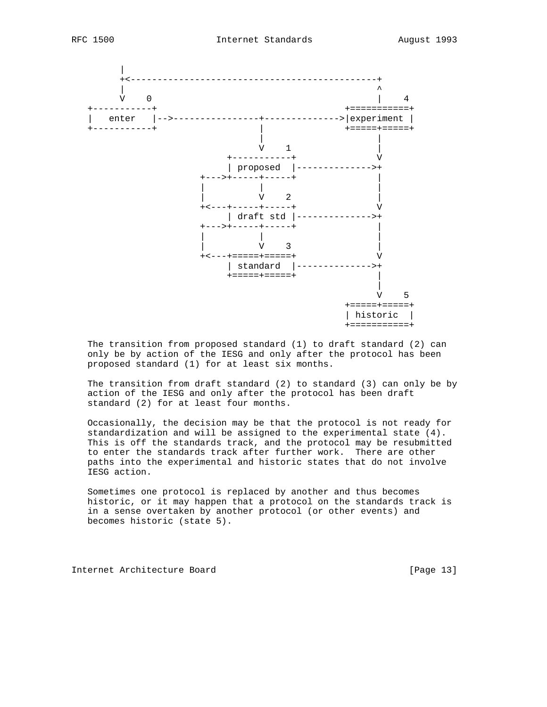



 The transition from proposed standard (1) to draft standard (2) can only be by action of the IESG and only after the protocol has been proposed standard (1) for at least six months.

 The transition from draft standard (2) to standard (3) can only be by action of the IESG and only after the protocol has been draft standard (2) for at least four months.

 Occasionally, the decision may be that the protocol is not ready for standardization and will be assigned to the experimental state (4). This is off the standards track, and the protocol may be resubmitted to enter the standards track after further work. There are other paths into the experimental and historic states that do not involve IESG action.

 Sometimes one protocol is replaced by another and thus becomes historic, or it may happen that a protocol on the standards track is in a sense overtaken by another protocol (or other events) and becomes historic (state 5).

Internet Architecture Board [Page 13]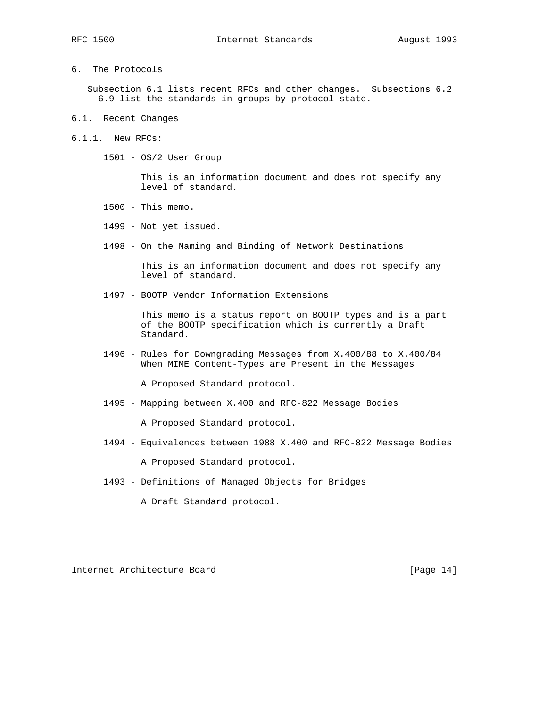- 
- 6. The Protocols

 Subsection 6.1 lists recent RFCs and other changes. Subsections 6.2 - 6.9 list the standards in groups by protocol state.

- 6.1. Recent Changes
- 6.1.1. New RFCs:

1501 - OS/2 User Group

 This is an information document and does not specify any level of standard.

- 1500 This memo.
- 1499 Not yet issued.
- 1498 On the Naming and Binding of Network Destinations

 This is an information document and does not specify any level of standard.

1497 - BOOTP Vendor Information Extensions

 This memo is a status report on BOOTP types and is a part of the BOOTP specification which is currently a Draft Standard.

 1496 - Rules for Downgrading Messages from X.400/88 to X.400/84 When MIME Content-Types are Present in the Messages

A Proposed Standard protocol.

1495 - Mapping between X.400 and RFC-822 Message Bodies

A Proposed Standard protocol.

1494 - Equivalences between 1988 X.400 and RFC-822 Message Bodies

A Proposed Standard protocol.

1493 - Definitions of Managed Objects for Bridges

A Draft Standard protocol.

Internet Architecture Board [Page 14]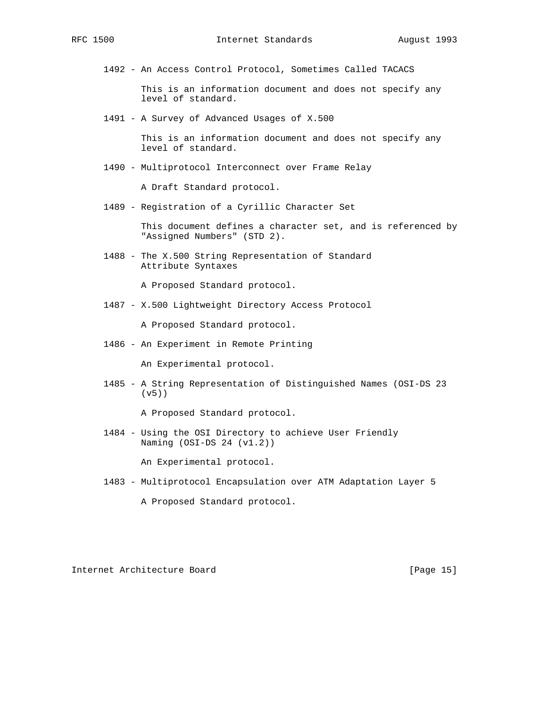1492 - An Access Control Protocol, Sometimes Called TACACS

 This is an information document and does not specify any level of standard.

1491 - A Survey of Advanced Usages of X.500

 This is an information document and does not specify any level of standard.

1490 - Multiprotocol Interconnect over Frame Relay

A Draft Standard protocol.

1489 - Registration of a Cyrillic Character Set

 This document defines a character set, and is referenced by "Assigned Numbers" (STD 2).

 1488 - The X.500 String Representation of Standard Attribute Syntaxes

A Proposed Standard protocol.

1487 - X.500 Lightweight Directory Access Protocol

A Proposed Standard protocol.

1486 - An Experiment in Remote Printing

An Experimental protocol.

 1485 - A String Representation of Distinguished Names (OSI-DS 23 (v5))

A Proposed Standard protocol.

 1484 - Using the OSI Directory to achieve User Friendly Naming (OSI-DS 24 (v1.2))

An Experimental protocol.

1483 - Multiprotocol Encapsulation over ATM Adaptation Layer 5

A Proposed Standard protocol.

Internet Architecture Board [Page 15]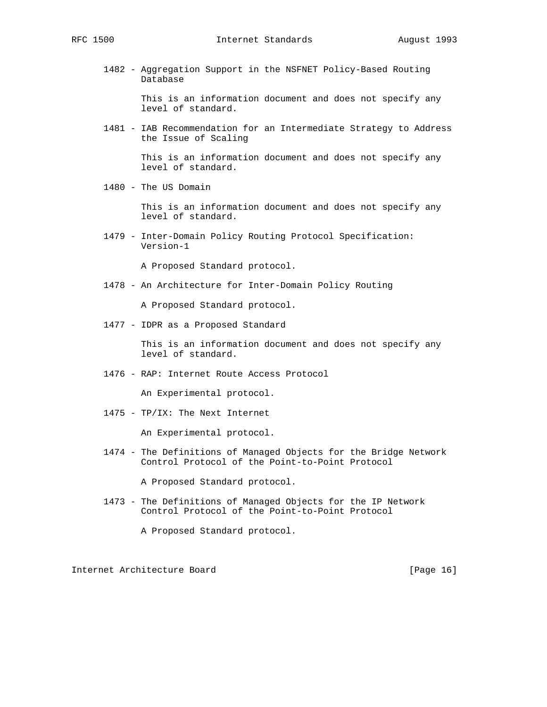1482 - Aggregation Support in the NSFNET Policy-Based Routing Database

> This is an information document and does not specify any level of standard.

 1481 - IAB Recommendation for an Intermediate Strategy to Address the Issue of Scaling

> This is an information document and does not specify any level of standard.

1480 - The US Domain

 This is an information document and does not specify any level of standard.

 1479 - Inter-Domain Policy Routing Protocol Specification: Version-1

A Proposed Standard protocol.

1478 - An Architecture for Inter-Domain Policy Routing

A Proposed Standard protocol.

1477 - IDPR as a Proposed Standard

 This is an information document and does not specify any level of standard.

1476 - RAP: Internet Route Access Protocol

An Experimental protocol.

1475 - TP/IX: The Next Internet

An Experimental protocol.

 1474 - The Definitions of Managed Objects for the Bridge Network Control Protocol of the Point-to-Point Protocol

A Proposed Standard protocol.

 1473 - The Definitions of Managed Objects for the IP Network Control Protocol of the Point-to-Point Protocol

A Proposed Standard protocol.

Internet Architecture Board [Page 16]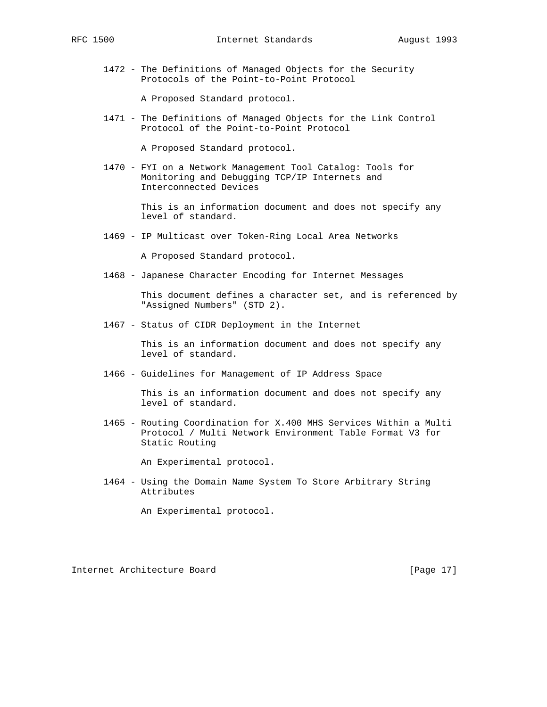1472 - The Definitions of Managed Objects for the Security Protocols of the Point-to-Point Protocol

A Proposed Standard protocol.

 1471 - The Definitions of Managed Objects for the Link Control Protocol of the Point-to-Point Protocol

A Proposed Standard protocol.

 1470 - FYI on a Network Management Tool Catalog: Tools for Monitoring and Debugging TCP/IP Internets and Interconnected Devices

> This is an information document and does not specify any level of standard.

1469 - IP Multicast over Token-Ring Local Area Networks

A Proposed Standard protocol.

1468 - Japanese Character Encoding for Internet Messages

 This document defines a character set, and is referenced by "Assigned Numbers" (STD 2).

1467 - Status of CIDR Deployment in the Internet

 This is an information document and does not specify any level of standard.

1466 - Guidelines for Management of IP Address Space

 This is an information document and does not specify any level of standard.

 1465 - Routing Coordination for X.400 MHS Services Within a Multi Protocol / Multi Network Environment Table Format V3 for Static Routing

An Experimental protocol.

 1464 - Using the Domain Name System To Store Arbitrary String Attributes

An Experimental protocol.

Internet Architecture Board [Page 17]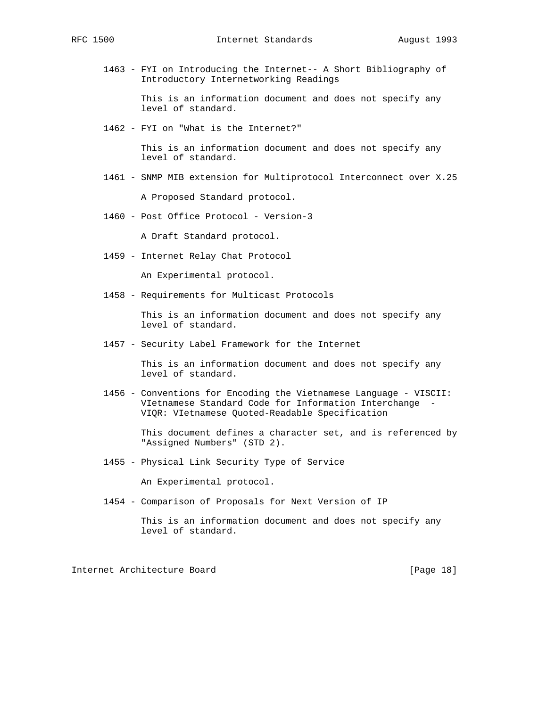1463 - FYI on Introducing the Internet-- A Short Bibliography of Introductory Internetworking Readings

> This is an information document and does not specify any level of standard.

1462 - FYI on "What is the Internet?"

 This is an information document and does not specify any level of standard.

1461 - SNMP MIB extension for Multiprotocol Interconnect over X.25

A Proposed Standard protocol.

1460 - Post Office Protocol - Version-3

A Draft Standard protocol.

1459 - Internet Relay Chat Protocol

An Experimental protocol.

1458 - Requirements for Multicast Protocols

 This is an information document and does not specify any level of standard.

1457 - Security Label Framework for the Internet

 This is an information document and does not specify any level of standard.

 1456 - Conventions for Encoding the Vietnamese Language - VISCII: VIetnamese Standard Code for Information Interchange - VIQR: VIetnamese Quoted-Readable Specification

> This document defines a character set, and is referenced by "Assigned Numbers" (STD 2).

1455 - Physical Link Security Type of Service

An Experimental protocol.

1454 - Comparison of Proposals for Next Version of IP

Internet Architecture Board [Page 18]

This is an information document and does not specify any level of standard.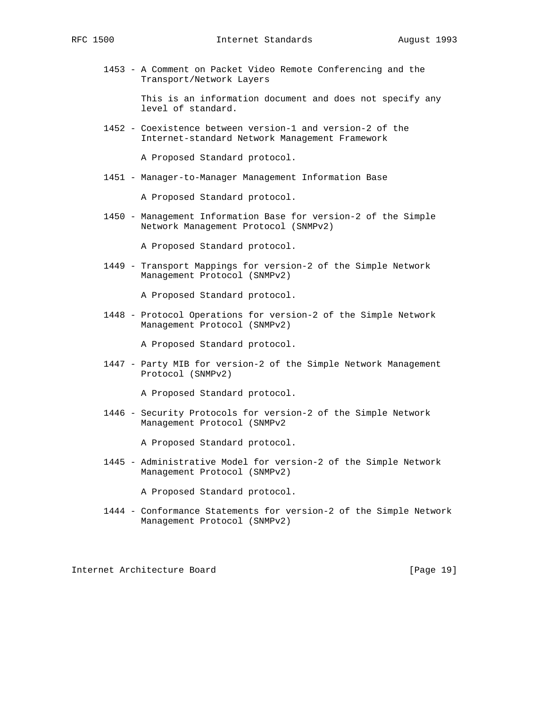1453 - A Comment on Packet Video Remote Conferencing and the Transport/Network Layers

> This is an information document and does not specify any level of standard.

 1452 - Coexistence between version-1 and version-2 of the Internet-standard Network Management Framework

A Proposed Standard protocol.

1451 - Manager-to-Manager Management Information Base

A Proposed Standard protocol.

 1450 - Management Information Base for version-2 of the Simple Network Management Protocol (SNMPv2)

A Proposed Standard protocol.

 1449 - Transport Mappings for version-2 of the Simple Network Management Protocol (SNMPv2)

A Proposed Standard protocol.

 1448 - Protocol Operations for version-2 of the Simple Network Management Protocol (SNMPv2)

A Proposed Standard protocol.

 1447 - Party MIB for version-2 of the Simple Network Management Protocol (SNMPv2)

A Proposed Standard protocol.

 1446 - Security Protocols for version-2 of the Simple Network Management Protocol (SNMPv2

A Proposed Standard protocol.

 1445 - Administrative Model for version-2 of the Simple Network Management Protocol (SNMPv2)

A Proposed Standard protocol.

 1444 - Conformance Statements for version-2 of the Simple Network Management Protocol (SNMPv2)

Internet Architecture Board [Page 19]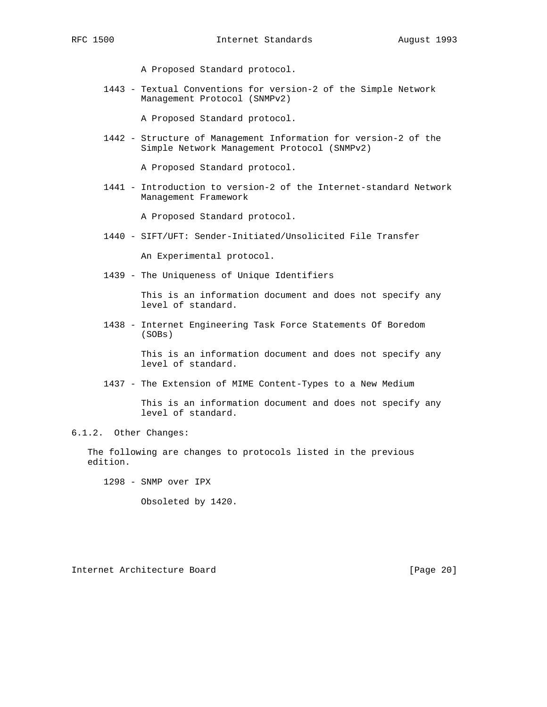A Proposed Standard protocol.

 1443 - Textual Conventions for version-2 of the Simple Network Management Protocol (SNMPv2)

A Proposed Standard protocol.

 1442 - Structure of Management Information for version-2 of the Simple Network Management Protocol (SNMPv2)

A Proposed Standard protocol.

 1441 - Introduction to version-2 of the Internet-standard Network Management Framework

A Proposed Standard protocol.

1440 - SIFT/UFT: Sender-Initiated/Unsolicited File Transfer

An Experimental protocol.

1439 - The Uniqueness of Unique Identifiers

 This is an information document and does not specify any level of standard.

 1438 - Internet Engineering Task Force Statements Of Boredom (SOBs)

> This is an information document and does not specify any level of standard.

1437 - The Extension of MIME Content-Types to a New Medium

 This is an information document and does not specify any level of standard.

## 6.1.2. Other Changes:

 The following are changes to protocols listed in the previous edition.

1298 - SNMP over IPX

Obsoleted by 1420.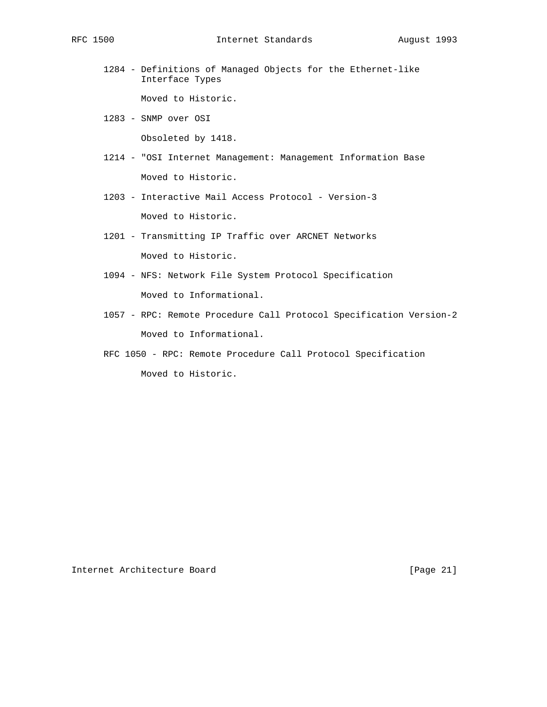1284 - Definitions of Managed Objects for the Ethernet-like Interface Types

Moved to Historic.

1283 - SNMP over OSI

Obsoleted by 1418.

- 1214 "OSI Internet Management: Management Information Base Moved to Historic.
- 1203 Interactive Mail Access Protocol Version-3 Moved to Historic.
- 1201 Transmitting IP Traffic over ARCNET Networks Moved to Historic.
- 1094 NFS: Network File System Protocol Specification Moved to Informational.
- 1057 RPC: Remote Procedure Call Protocol Specification Version-2 Moved to Informational.
- RFC 1050 RPC: Remote Procedure Call Protocol Specification Moved to Historic.

Internet Architecture Board [Page 21]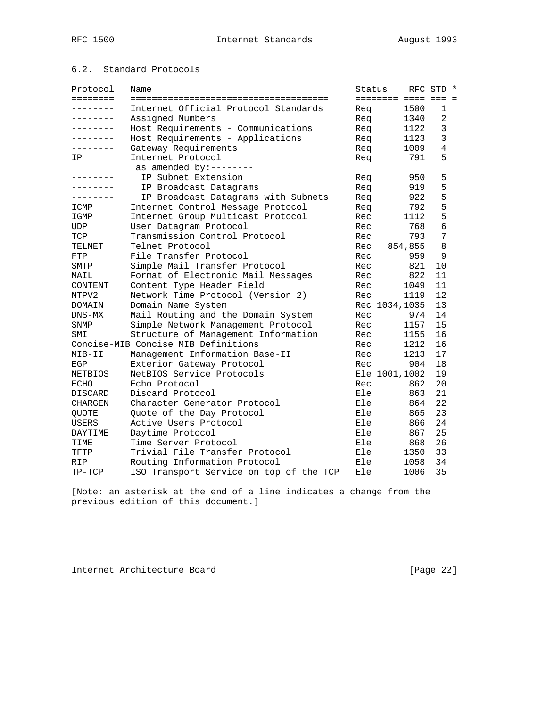# 6.2. Standard Protocols

| Protocol        | Name                                    | Status |                |                     | RFC STD *      |  |
|-----------------|-----------------------------------------|--------|----------------|---------------------|----------------|--|
| ========        |                                         |        |                | ======== ==== === = |                |  |
| .               | Internet Official Protocol Standards    | Rea    |                | 1500                | 1              |  |
| . - - - - - - - | Assigned Numbers                        | Req    |                | 1340                | 2              |  |
| .               | Host Requirements - Communications      | Req    |                | 1122                | 3              |  |
| ---------       | Host Requirements - Applications        | Req    |                | 1123                | $\overline{3}$ |  |
| --------        | Gateway Requirements                    | Req    |                | 1009                | $\overline{4}$ |  |
| IP              | Internet Protocol                       | Req    |                | 791                 | 5              |  |
|                 | as amended by:--------                  |        |                |                     |                |  |
|                 | IP Subnet Extension                     | Req    |                | 950                 | 5              |  |
|                 | IP Broadcast Datagrams                  | Req    |                | 919                 | 5              |  |
| .               | IP Broadcast Datagrams with Subnets     | Req    |                | 922                 | 5              |  |
| ICMP            | Internet Control Message Protocol       | Req    |                | 792                 | 5              |  |
| IGMP            | Internet Group Multicast Protocol       | Rec    |                | 1112                | 5              |  |
| UDP             | User Datagram Protocol                  | Rec    |                | 768                 | $6\phantom{1}$ |  |
| TCP             | Transmission Control Protocol           | Rec    |                | 793                 | 7              |  |
| TELNET          | Telnet Protocol                         | Rec    |                | 854,855             | 8              |  |
| <b>FTP</b>      | File Transfer Protocol                  | Rec    |                | 959                 | 9              |  |
| SMTP            | Simple Mail Transfer Protocol           | Rec    |                | 821                 | 10             |  |
| MAIL            | Format of Electronic Mail Messages      | Rec    |                | 822                 | 11             |  |
| CONTENT         | Content Type Header Field               | Rec    |                | 1049                | 11             |  |
| NTPV2           | Network Time Protocol (Version 2)       | Rec    |                | 1119                | 12             |  |
| DOMAIN          | Domain Name System                      |        | Rec 1034, 1035 |                     | 13             |  |
| $DNS-MX$        | Mail Routing and the Domain System      | Rec    |                | 974                 | 14             |  |
| SNMP            | Simple Network Management Protocol      | Rec    |                | 1157                | 15             |  |
| SMI             | Structure of Management Information     | Rec    |                | 1155                | 16             |  |
|                 | Concise-MIB Concise MIB Definitions     | Rec    |                | 1212                | 16             |  |
| MIB-II          | Management Information Base-II          | Rec    |                | 1213                | 17             |  |
| EGP             | Exterior Gateway Protocol               | Rec    |                | 904                 | 18             |  |
| <b>NETBIOS</b>  | NetBIOS Service Protocols               |        | Ele 1001,1002  |                     | 19             |  |
| <b>ECHO</b>     | Echo Protocol                           | Rec    |                | 862                 | 20             |  |
| DISCARD         | Discard Protocol                        | Ele    |                | 863                 | 21             |  |
| <b>CHARGEN</b>  | Character Generator Protocol            | Ele    |                | 864                 | 22             |  |
| <b>QUOTE</b>    | Quote of the Day Protocol               | Ele    |                | 865                 | 23             |  |
| <b>USERS</b>    | Active Users Protocol                   | Ele    |                | 866                 | 24             |  |
| DAYTIME         | Daytime Protocol                        | Ele    |                | 867                 | 25             |  |
| TIME            | Time Server Protocol                    | Ele    |                | 868                 | 26             |  |
| TFTP            | Trivial File Transfer Protocol          | Ele    |                | 1350                | 33             |  |
| <b>RIP</b>      | Routing Information Protocol            | Ele    |                | 1058                | 34             |  |
| TP-TCP          | ISO Transport Service on top of the TCP | Ele    |                | 1006                | 35             |  |

[Note: an asterisk at the end of a line indicates a change from the previous edition of this document.]

Internet Architecture Board [Page 22]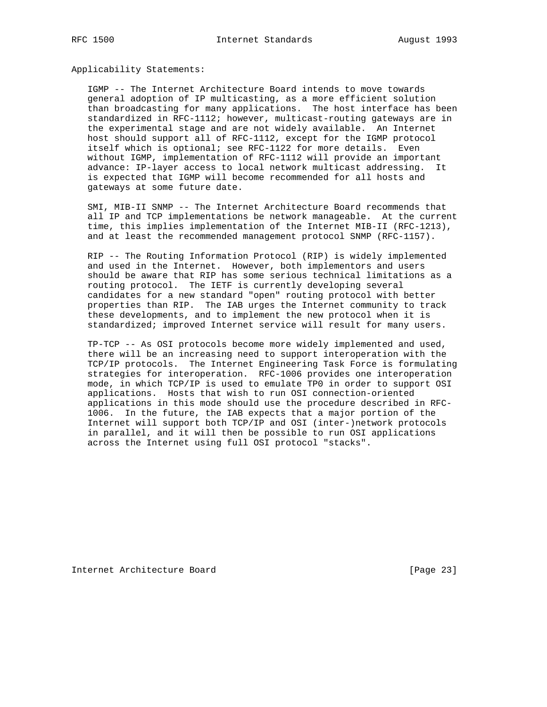Applicability Statements:

 IGMP -- The Internet Architecture Board intends to move towards general adoption of IP multicasting, as a more efficient solution than broadcasting for many applications. The host interface has been standardized in RFC-1112; however, multicast-routing gateways are in the experimental stage and are not widely available. An Internet host should support all of RFC-1112, except for the IGMP protocol itself which is optional; see RFC-1122 for more details. Even without IGMP, implementation of RFC-1112 will provide an important advance: IP-layer access to local network multicast addressing. It is expected that IGMP will become recommended for all hosts and gateways at some future date.

 SMI, MIB-II SNMP -- The Internet Architecture Board recommends that all IP and TCP implementations be network manageable. At the current time, this implies implementation of the Internet MIB-II (RFC-1213), and at least the recommended management protocol SNMP (RFC-1157).

 RIP -- The Routing Information Protocol (RIP) is widely implemented and used in the Internet. However, both implementors and users should be aware that RIP has some serious technical limitations as a routing protocol. The IETF is currently developing several candidates for a new standard "open" routing protocol with better properties than RIP. The IAB urges the Internet community to track these developments, and to implement the new protocol when it is standardized; improved Internet service will result for many users.

 TP-TCP -- As OSI protocols become more widely implemented and used, there will be an increasing need to support interoperation with the TCP/IP protocols. The Internet Engineering Task Force is formulating strategies for interoperation. RFC-1006 provides one interoperation mode, in which TCP/IP is used to emulate TP0 in order to support OSI applications. Hosts that wish to run OSI connection-oriented applications in this mode should use the procedure described in RFC- 1006. In the future, the IAB expects that a major portion of the Internet will support both TCP/IP and OSI (inter-)network protocols in parallel, and it will then be possible to run OSI applications across the Internet using full OSI protocol "stacks".

Internet Architecture Board [Page 23]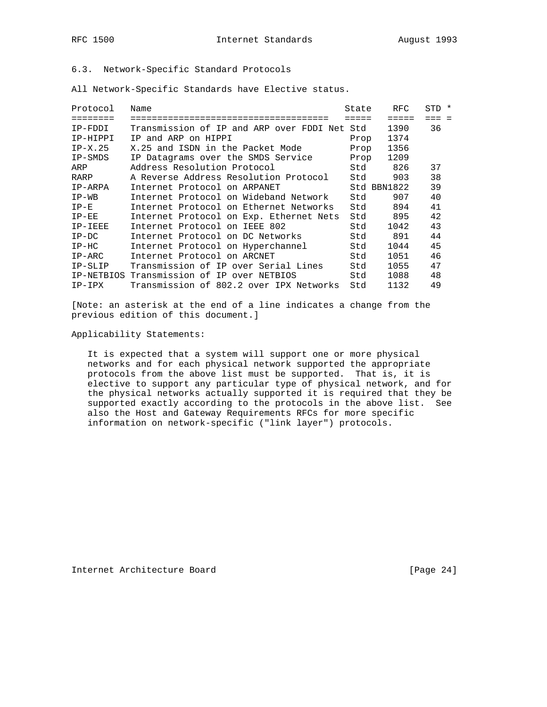# 6.3. Network-Specific Standard Protocols

All Network-Specific Standards have Elective status.

| Protocol  | Name                                         | State | RFC.        | STD * |
|-----------|----------------------------------------------|-------|-------------|-------|
| --------  | --------------------------------             | ----- | =====       |       |
| IP-FDDI   | Transmission of IP and ARP over FDDI Net Std |       | 1390        | 36    |
| IP-HIPPI  | IP and ARP on HIPPI                          | Prop  | 1374        |       |
| $IP-X.25$ | X.25 and ISDN in the Packet Mode             | Prop  | 1356        |       |
| IP-SMDS   | IP Datagrams over the SMDS Service           | Prop  | 1209        |       |
| ARP       | Address Resolution Protocol                  | Std   | 826         | 37    |
| RARP      | A Reverse Address Resolution Protocol        | Std   | 903         | 38    |
| IP-ARPA   | Internet Protocol on ARPANET                 |       | Std BBN1822 | 39    |
| $IP-WB$   | Internet Protocol on Wideband Network        | Std   | 907         | 40    |
| $IP-E$    | Internet Protocol on Ethernet Networks       | Std   | 894         | 41    |
| $IP-EE$   | Internet Protocol on Exp. Ethernet Nets      | Std   | 895         | 42    |
| IP-IEEE   | Internet Protocol on IEEE 802                | Std   | 1042        | 43    |
| $IP-DC$   | Internet Protocol on DC Networks             | Std   | 891         | 44    |
| $IP-HC$   | Internet Protocol on Hyperchannel            | Std   | 1044        | 45    |
| $IP-ARC$  | Internet Protocol on ARCNET                  | Std   | 1051        | 46    |
| IP-SLIP   | Transmission of IP over Serial Lines         | Std   | 1055        | 47    |
|           | IP-NETBIOS Transmission of IP over NETBIOS   | Std   | 1088        | 48    |
| $IP-IPX$  | Transmission of 802.2 over IPX Networks      | Std   | 1132        | 49    |

[Note: an asterisk at the end of a line indicates a change from the previous edition of this document.]

Applicability Statements:

 It is expected that a system will support one or more physical networks and for each physical network supported the appropriate protocols from the above list must be supported. That is, it is elective to support any particular type of physical network, and for the physical networks actually supported it is required that they be supported exactly according to the protocols in the above list. See also the Host and Gateway Requirements RFCs for more specific information on network-specific ("link layer") protocols.

Internet Architecture Board [Page 24]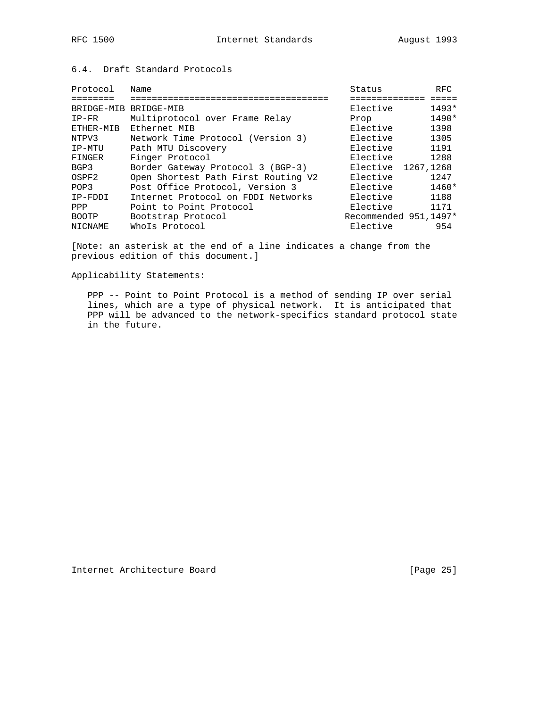# 6.4. Draft Standard Protocols

| Protocol              | Name                                | Status                | <b>RFC</b> |
|-----------------------|-------------------------------------|-----------------------|------------|
|                       |                                     |                       |            |
| BRIDGE-MIB BRIDGE-MIB |                                     | Elective              | $1493*$    |
| $IP-FR$               | Multiprotocol over Frame Relay      | Prop                  | $1490*$    |
| ETHER-MIB             | Ethernet MIB                        | Elective              | 1398       |
| NTPV3                 | Network Time Protocol (Version 3)   | Elective              | 1305       |
| IP-MTU                | Path MTU Discovery                  | Elective              | 1191       |
| FINGER                | Finger Protocol                     | Elective              | 1288       |
| BGP3                  | Border Gateway Protocol 3 (BGP-3)   | Elective              | 1267,1268  |
| OSPF2                 | Open Shortest Path First Routing V2 | Elective              | 1247       |
| POP3                  | Post Office Protocol, Version 3     | Elective              | $1460*$    |
| IP-FDDI               | Internet Protocol on FDDI Networks  | Elective              | 1188       |
| PPP                   | Point to Point Protocol             | Elective              | 1171       |
| <b>BOOTP</b>          | Bootstrap Protocol                  | Recommended 951,1497* |            |
| NICNAME               | Whols Protocol                      | Elective              | 954        |

[Note: an asterisk at the end of a line indicates a change from the previous edition of this document.]

Applicability Statements:

 PPP -- Point to Point Protocol is a method of sending IP over serial lines, which are a type of physical network. It is anticipated that PPP will be advanced to the network-specifics standard protocol state in the future.

Internet Architecture Board [Page 25]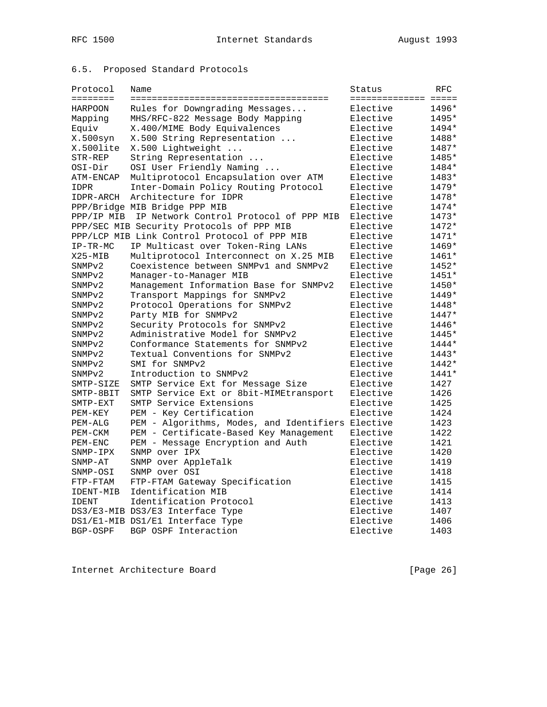# 6.5. Proposed Standard Protocols

| Protocol<br><b>EEEEEEEE</b> | Name                                         | Status<br>==================== | <b>RFC</b> |
|-----------------------------|----------------------------------------------|--------------------------------|------------|
| <b>HARPOON</b>              | Rules for Downgrading Messages               | Elective                       | 1496*      |
| Mapping                     | MHS/RFC-822 Message Body Mapping             | Elective                       | 1495*      |
| Equiv                       | X.400/MIME Body Equivalences                 | Elective                       | 1494*      |
| X.500syn                    | X.500 String Representation                  | Elective                       | 1488*      |
| X.500lite                   | X.500 Lightweight                            | Elective                       | 1487*      |
| STR-REP                     | String Representation<br>$\ldots$            | Elective                       | 1485*      |
| OSI-Dir                     | OSI User Friendly Naming                     | Elective                       | 1484*      |
| ATM-ENCAP                   | Multiprotocol Encapsulation over ATM         | Elective                       | 1483*      |
| <b>IDPR</b>                 | Inter-Domain Policy Routing Protocol         | Elective                       | 1479*      |
| IDPR-ARCH                   | Architecture for IDPR                        | Elective                       | 1478*      |
|                             | PPP/Bridge MIB Bridge PPP MIB                | Elective                       | 1474*      |
| PPP/IP MIB                  | IP Network Control Protocol of PPP MIB       | Elective                       | $1473*$    |
|                             | PPP/SEC MIB Security Protocols of PPP MIB    | Elective                       | 1472*      |
|                             | PPP/LCP MIB Link Control Protocol of PPP MIB | Elective                       | $1471*$    |
| $IP-TR-MC$                  | IP Multicast over Token-Ring LANs            | Elective                       | 1469*      |
| $X25 - MIB$                 | Multiprotocol Interconnect on X.25 MIB       | Elective                       | $1461*$    |
| SNMP <sub>v2</sub>          | Coexistence between SNMPv1 and SNMPv2        | Elective                       | 1452*      |
| SNMP <sub>v2</sub>          | Manager-to-Manager MIB                       | Elective                       | $1451*$    |
| SNMP <sub>v2</sub>          | Management Information Base for SNMPv2       | Elective                       | 1450*      |
| SNMP <sub>v2</sub>          | Transport Mappings for SNMPv2                | Elective                       | $1449*$    |
| SNMP <sub>v2</sub>          | Protocol Operations for SNMPv2               | Elective                       | 1448*      |
| SNMP <sub>v2</sub>          | Party MIB for SNMPv2                         | Elective                       | $1447*$    |
| SNMP <sub>v2</sub>          | Security Protocols for SNMPv2                | Elective                       | 1446*      |
| SNMP <sub>v2</sub>          | Administrative Model for SNMPv2              | Elective                       | 1445*      |
| SNMP <sub>v2</sub>          | Conformance Statements for SNMPv2            | Elective                       | 1444*      |
| SNMP <sub>v2</sub>          | Textual Conventions for SNMPv2               | Elective                       | $1443*$    |
| SNMP <sub>v2</sub>          | SMI for SNMPv2                               | Elective                       | 1442*      |
| SNMP <sub>v2</sub>          | Introduction to SNMPv2                       | Elective                       | $1441*$    |
| SMTP-SIZE                   | SMTP Service Ext for Message Size            | Elective                       | 1427       |
| SMTP-8BIT                   | SMTP Service Ext or 8bit-MIMEtransport       | Elective                       | 1426       |
| SMTP-EXT                    | SMTP Service Extensions                      | Elective                       | 1425       |
| PEM-KEY                     | PEM - Key Certification                      | Elective                       | 1424       |
| PEM-ALG                     | PEM - Algorithms, Modes, and Identifiers     | Elective                       | 1423       |
| PEM-CKM                     | PEM - Certificate-Based Key Management       | Elective                       | 1422       |
| PEM-ENC                     | PEM - Message Encryption and Auth            | Elective                       | 1421       |
| SNMP-IPX                    | SNMP over IPX                                | Elective                       | 1420       |
| SNMP-AT                     | SNMP over AppleTalk                          | Elective                       | 1419       |
| SNMP-OSI                    | SNMP over OSI                                | Elective                       | 1418       |
| FTP-FTAM                    | FTP-FTAM Gateway Specification               | Elective                       | 1415       |
| IDENT-MIB                   | Identification MIB                           | Elective                       | 1414       |
| <b>IDENT</b>                | Identification Protocol                      | Elective                       | 1413       |
|                             | DS3/E3-MIB DS3/E3 Interface Type             | Elective                       | 1407       |
|                             | DS1/E1-MIB DS1/E1 Interface Type             | Elective                       | 1406       |
| BGP-OSPF                    | BGP OSPF Interaction                         | Elective                       | 1403       |

Internet Architecture Board [Page 26]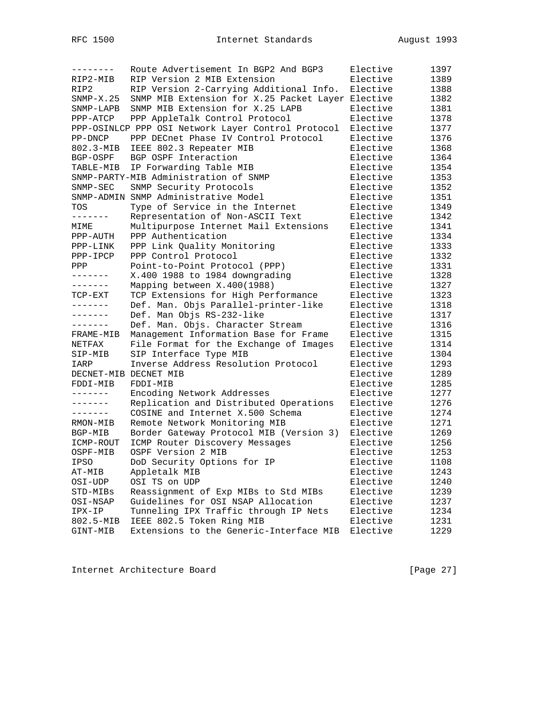| --------              | Route Advertisement In BGP2 And BGP3               | Elective | 1397 |
|-----------------------|----------------------------------------------------|----------|------|
| RIP2-MIB              | RIP Version 2 MIB Extension                        | Elective | 1389 |
| RIP2                  | RIP Version 2-Carrying Additional Info.            | Elective | 1388 |
| $SNMP-X.25$           | SNMP MIB Extension for X.25 Packet Layer Elective  |          | 1382 |
| SNMP-LAPB             | SNMP MIB Extension for X.25 LAPB                   | Elective | 1381 |
| PPP-ATCP              | PPP AppleTalk Control Protocol                     | Elective | 1378 |
|                       | PPP-OSINLCP PPP OSI Network Layer Control Protocol | Elective | 1377 |
| PP-DNCP               | PPP DECnet Phase IV Control Protocol               | Elective | 1376 |
| 802.3-MIB             | IEEE 802.3 Repeater MIB                            | Elective | 1368 |
| BGP-OSPF              | BGP OSPF Interaction                               | Elective | 1364 |
| TABLE-MIB             | IP Forwarding Table MIB                            | Elective | 1354 |
|                       | SNMP-PARTY-MIB Administration of SNMP              | Elective | 1353 |
| SNMP-SEC              | SNMP Security Protocols                            | Elective | 1352 |
|                       | SNMP-ADMIN SNMP Administrative Model               | Elective | 1351 |
| TOS                   | Type of Service in the Internet                    | Elective | 1349 |
| -------               | Representation of Non-ASCII Text                   | Elective | 1342 |
| MIME                  | Multipurpose Internet Mail Extensions              | Elective | 1341 |
| PPP-AUTH              | PPP Authentication                                 | Elective | 1334 |
| PPP-LINK              | PPP Link Quality Monitoring                        | Elective | 1333 |
| $PPP-IPCP$            | PPP Control Protocol                               | Elective | 1332 |
| PPP                   | Point-to-Point Protocol (PPP)                      | Elective | 1331 |
| -------               | X.400 1988 to 1984 downgrading                     | Elective | 1328 |
| -------               | Mapping between X.400(1988)                        | Elective | 1327 |
| TCP-EXT               | TCP Extensions for High Performance                | Elective | 1323 |
| --------              | Def. Man. Objs Parallel-printer-like               | Elective |      |
| .                     |                                                    | Elective | 1318 |
| -------               | Def. Man Objs RS-232-like                          |          | 1317 |
|                       | Def. Man. Objs. Character Stream                   | Elective | 1316 |
| FRAME-MIB             | Management Information Base for Frame              | Elective | 1315 |
| NETFAX                | File Format for the Exchange of Images             | Elective | 1314 |
| SIP-MIB               | SIP Interface Type MIB                             | Elective | 1304 |
| IARP                  | Inverse Address Resolution Protocol                | Elective | 1293 |
| DECNET-MIB DECNET MIB |                                                    | Elective | 1289 |
| FDDI-MIB              | FDDI-MIB                                           | Elective | 1285 |
| -------               | Encoding Network Addresses                         | Elective | 1277 |
| -------               | Replication and Distributed Operations             | Elective | 1276 |
| -------               | COSINE and Internet X.500 Schema                   | Elective | 1274 |
| RMON-MIB              | Remote Network Monitoring MIB                      | Elective | 1271 |
| BGP-MIB               | Border Gateway Protocol MIB (Version 3)            | Elective | 1269 |
| ICMP-ROUT             | ICMP Router Discovery Messages                     | Elective | 1256 |
| OSPF-MIB              | OSPF Version 2 MIB                                 | Elective | 1253 |
| IPSO                  | DoD Security Options for IP                        | Elective | 1108 |
| AT-MIB                | Appletalk MIB                                      | Elective | 1243 |
| OSI-UDP               | OSI TS on UDP                                      | Elective | 1240 |
| STD-MIBs              | Reassignment of Exp MIBs to Std MIBs               | Elective | 1239 |
| OSI-NSAP              | Guidelines for OSI NSAP Allocation                 | Elective | 1237 |
| IPX-IP                | Tunneling IPX Traffic through IP Nets              | Elective | 1234 |
| 802.5-MIB             | IEEE 802.5 Token Ring MIB                          | Elective | 1231 |
| GINT-MIB              | Extensions to the Generic-Interface MIB            | Elective | 1229 |

Internet Architecture Board [Page 27]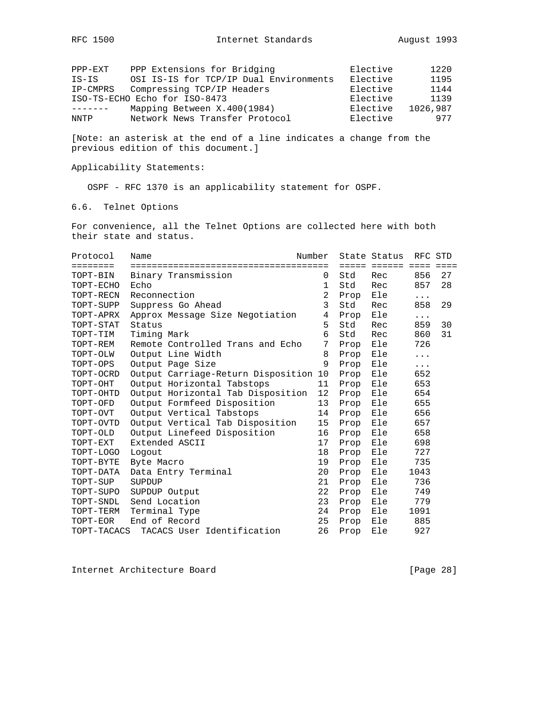| PPP-EXT  | PPP Extensions for Bridging            | Elective | 1220     |
|----------|----------------------------------------|----------|----------|
| IS-IS    | OSI IS-IS for TCP/IP Dual Environments | Elective | 1195     |
| IP-CMPRS | Compressing TCP/IP Headers             | Elective | 1144     |
|          | ISO-TS-ECHO Echo for ISO-8473          | Elective | 1139     |
|          | Mapping Between X.400(1984)            | Elective | 1026,987 |
| NNTP     | Network News Transfer Protocol         | Elective | 977      |

Applicability Statements:

OSPF - RFC 1370 is an applicability statement for OSPF.

6.6. Telnet Options

For convenience, all the Telnet Options are collected here with both their state and status.

| Protocol    | Name                               | Number         |      | State Status | RFC STD              |    |
|-------------|------------------------------------|----------------|------|--------------|----------------------|----|
| ========    |                                    |                |      | ===== ====== | $=$ $=$ $=$ $=$      |    |
| TOPT-BIN    | Binary Transmission                | 0              | Std  | Rec          | 856                  | 27 |
| TOPT-ECHO   | Echo                               | $\mathbf{1}$   | Std  | Rec          | 857                  | 28 |
| TOPT-RECN   | Reconnection                       | $\overline{2}$ | Prop | Ele          | $\sim$ $\sim$ $\sim$ |    |
| TOPT-SUPP   | Suppress Go Ahead                  | 3              | Std  | Rec          | 858                  | 29 |
| TOPT-APRX   | Approx Message Size Negotiation    | 4              | Prop | Ele          | .                    |    |
| TOPT-STAT   | Status                             | 5              | Std  | Rec          | 859                  | 30 |
| TOPT-TIM    | Timing Mark                        | 6              | Std  | Rec          | 860                  | 31 |
| TOPT-REM    | Remote Controlled Trans and Echo   | 7              | Prop | Ele          | 726                  |    |
| TOPT-OLW    | Output Line Width                  | 8              | Prop | Ele          | $\cdots$             |    |
| TOPT-OPS    | Output Page Size                   | 9              | Prop | Ele          | .                    |    |
| TOPT-OCRD   | Output Carriage-Return Disposition | 10             | Prop | Ele          | 652                  |    |
| TOPT-OHT    | Output Horizontal Tabstops         | 11             | Prop | Ele          | 653                  |    |
| TOPT-OHTD   | Output Horizontal Tab Disposition  | $12 \,$        | Prop | Ele          | 654                  |    |
| TOPT-OFD    | Output Formfeed Disposition        | 13             | Prop | Ele          | 655                  |    |
| TOPT-OVT    | Output Vertical Tabstops           | 14             | Prop | Ele          | 656                  |    |
| TOPT-OVTD   | Output Vertical Tab Disposition    | 15             | Prop | Ele          | 657                  |    |
| TOPT-OLD    | Output Linefeed Disposition        | 16             | Prop | Ele          | 658                  |    |
| TOPT-EXT    | Extended ASCII                     | 17             | Prop | Ele          | 698                  |    |
| TOPT-LOGO   | Logout                             | 18             | Prop | Ele          | 727                  |    |
| TOPT-BYTE   | Byte Macro                         | 19             | Prop | Ele          | 735                  |    |
| TOPT-DATA   | Data Entry Terminal                | 20             | Prop | Ele          | 1043                 |    |
| TOPT-SUP    | SUPDUP                             | 21             | Prop | Ele          | 736                  |    |
| TOPT-SUPO   | SUPDUP Output                      | 22             | Prop | Ele          | 749                  |    |
| TOPT-SNDL   | Send Location                      | 23             | Prop | Ele          | 779                  |    |
| TOPT-TERM   | Terminal Type                      | 24             | Prop | Ele          | 1091                 |    |
| TOPT-EOR    | End of Record                      | 25             | Prop | Ele          | 885                  |    |
| TOPT-TACACS | TACACS User Identification         | 26             | Prop | Ele          | 927                  |    |

Internet Architecture Board [Page 28]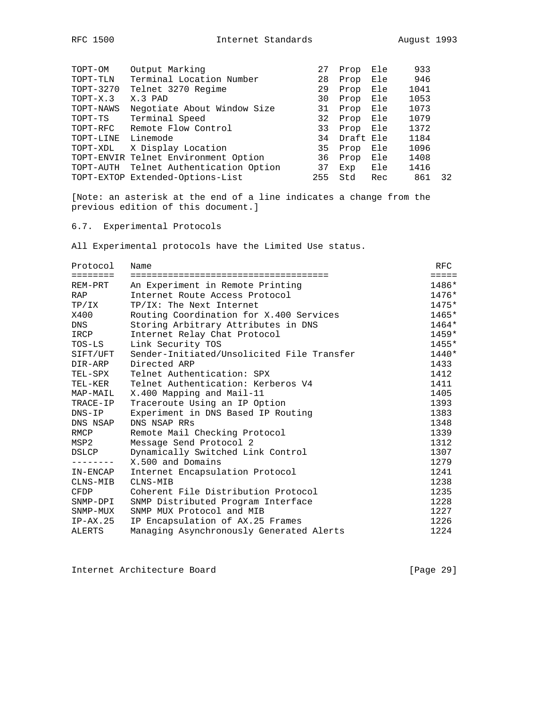| Output Marking               | 27                                                                       | Prop | Ele | 933                            |    |
|------------------------------|--------------------------------------------------------------------------|------|-----|--------------------------------|----|
| Terminal Location Number     | 28                                                                       | Prop | Ele | 946                            |    |
| Telnet 3270 Regime           | 29                                                                       | Prop | Ele | 1041                           |    |
| X.3 PAD                      | 30                                                                       | Prop |     | 1053                           |    |
| Negotiate About Window Size  | 31                                                                       | Prop |     | 1073                           |    |
| Terminal Speed               | 32                                                                       | Prop |     | 1079                           |    |
| Remote Flow Control          | 33                                                                       | Prop | Ele | 1372                           |    |
| Linemode                     | 34                                                                       |      |     | 1184                           |    |
| X Display Location           | 35                                                                       | Prop | Ele | 1096                           |    |
|                              | 36                                                                       | Prop | Ele | 1408                           |    |
| Telnet Authentication Option | 37                                                                       | Exp  | Ele | 1416                           |    |
|                              | 255                                                                      | Std  | Rec | 861                            | 32 |
|                              | TOPT-ENVIR Telnet Environment Option<br>TOPT-EXTOP Extended-Options-List |      |     | Ele<br>Ele<br>Ele<br>Draft Ele |    |

# 6.7. Experimental Protocols

All Experimental protocols have the Limited Use status.

| Protocol        | Name                                       | RFC             |
|-----------------|--------------------------------------------|-----------------|
| <b>EEEEEEEE</b> |                                            | $=$ $=$ $=$ $=$ |
| REM-PRT         | An Experiment in Remote Printing           | 1486*           |
| RAP             | Internet Route Access Protocol             | $1476*$         |
| TP/IX           | TP/IX: The Next Internet                   | $1475*$         |
| X400            | Routing Coordination for X.400 Services    | $1465*$         |
| DNS             | Storing Arbitrary Attributes in DNS        | $1464*$         |
| IRCP            | Internet Relay Chat Protocol               | $1459*$         |
| TOS-LS          | Link Security TOS                          | 1455*           |
| SIFT/UFT        | Sender-Initiated/Unsolicited File Transfer | $1440*$         |
| DIR-ARP         | Directed ARP                               | 1433            |
| TEL-SPX         | Telnet Authentication: SPX                 | 1412            |
| TEL-KER         | Telnet Authentication: Kerberos V4         | 1411            |
| MAP-MAIL        | X.400 Mapping and Mail-11                  | 1405            |
| TRACE-IP        | Traceroute Using an IP Option              | 1393            |
| $DNS-IP$        | Experiment in DNS Based IP Routing         | 1383            |
| DNS NSAP        | DNS NSAP RRs                               | 1348            |
| RMCP            | Remote Mail Checking Protocol              | 1339            |
| MSP2            | Message Send Protocol 2                    | 1312            |
| DSLCP           | Dynamically Switched Link Control          | 1307            |
|                 | X.500 and Domains                          | 1279            |
| IN-ENCAP        | Internet Encapsulation Protocol            | 1241            |
| CLNS-MIB        | CLNS-MIB                                   | 1238            |
| CFDP            | Coherent File Distribution Protocol        | 1235            |
| SNMP-DPI        | SNMP Distributed Program Interface         | 1228            |
| SNMP-MUX        | SNMP MUX Protocol and MIB                  | 1227            |
| $IP-AX.25$      | IP Encapsulation of AX.25 Frames           | 1226            |
| ALERTS          | Managing Asynchronously Generated Alerts   | 1224            |

Internet Architecture Board [Page 29]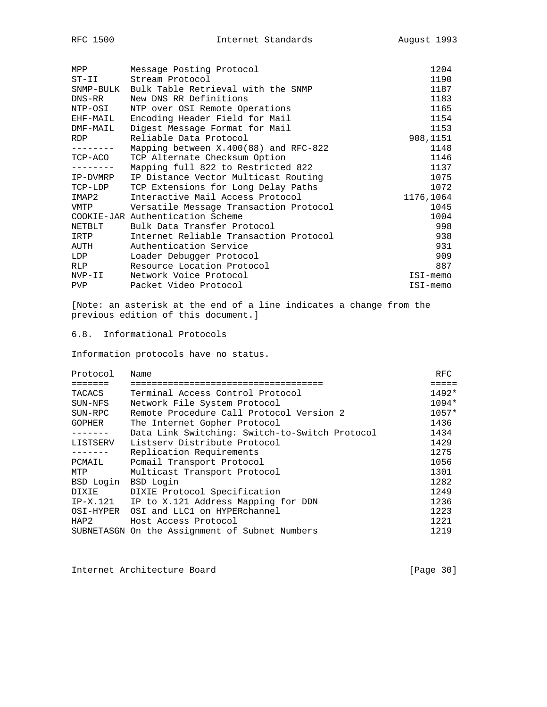| Message Posting Protocol                     | 1204      |
|----------------------------------------------|-----------|
| Stream Protocol<br>$ST-II$                   | 1190      |
| SNMP-BULK Bulk Table Retrieval with the SNMP | 1187      |
| New DNS RR Definitions                       | 1183      |
| NTP over OSI Remote Operations               | 1165      |
| Encoding Header Field for Mail               | 1154      |
| Digest Message Format for Mail               | 1153      |
| Reliable Data Protocol                       | 908,1151  |
| Mapping between X.400(88) and RFC-822        | 1148      |
| TCP Alternate Checksum Option                | 1146      |
| Mapping full 822 to Restricted 822           | 1137      |
| IP Distance Vector Multicast Routing         | 1075      |
| TCP Extensions for Long Delay Paths          | 1072      |
| Interactive Mail Access Protocol             | 1176,1064 |
| VMTP Versatile Message Transaction Protocol  | 1045      |
| COOKIE-JAR Authentication Scheme             | 1004      |
| Bulk Data Transfer Protocol                  | 998       |
| Internet Reliable Transaction Protocol       | 938       |
| Authentication Service                       | 931       |
| Loader Debugger Protocol                     | 909       |
| Resource Location Protocol                   | 887       |
| Network Voice Protocol                       | ISI-memo  |
| Packet Video Protocol                        | ISI-memo  |
|                                              |           |

# 6.8. Informational Protocols

Information protocols have no status.

| Protocol  | Name                                           | <b>RFC</b> |
|-----------|------------------------------------------------|------------|
|           |                                                | =====      |
| TACACS    | Terminal Access Control Protocol               | $1492*$    |
| SUN-NFS   | Network File System Protocol                   | $1094*$    |
| SUN-RPC   | Remote Procedure Call Protocol Version 2       | $1057*$    |
| GOPHER    | The Internet Gopher Protocol                   | 1436       |
|           | Data Link Switching: Switch-to-Switch Protocol | 1434       |
| LISTSERV  | Listsery Distribute Protocol                   | 1429       |
|           | Replication Requirements                       | 1275       |
| PCMAIL    | Pomail Transport Protocol                      | 1056       |
| MTP       | Multicast Transport Protocol                   | 1301       |
| BSD Login | BSD Login                                      | 1282       |
| DIXIE     | DIXIE Protocol Specification                   | 1249       |
| IP-X.121  | IP to X.121 Address Mapping for DDN            | 1236       |
| OSI-HYPER | OSI and LLC1 on HYPERchannel                   | 1223       |
| HAP2      | Host Access Protocol                           | 1221       |
|           | SUBNETASGN On the Assignment of Subnet Numbers | 1219       |

Internet Architecture Board [Page 30]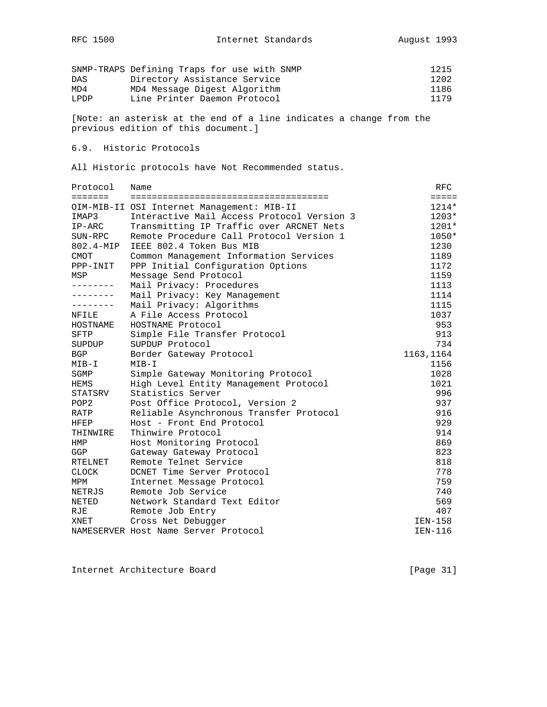|      | SNMP-TRAPS Defining Traps for use with SNMP | 1215 |
|------|---------------------------------------------|------|
| DAS  | Directory Assistance Service                | 1202 |
| MD4  | MD4 Message Digest Algorithm                | 1186 |
| LPDP | Line Printer Daemon Protocol                | 1179 |

# 6.9. Historic Protocols

All Historic protocols have Not Recommended status.

| Protocol         | Name                                       | RFC             |
|------------------|--------------------------------------------|-----------------|
| <b>=======</b>   |                                            | $=$ $=$ $=$ $=$ |
|                  | OIM-MIB-II OSI Internet Management: MIB-II | $1214*$         |
| IMAP3            | Interactive Mail Access Protocol Version 3 | $1203*$         |
| $IP-ARC$         | Transmitting IP Traffic over ARCNET Nets   | $1201*$         |
| SUN-RPC          | Remote Procedure Call Protocol Version 1   | $1050*$         |
| $802.4 - MIP$    | IEEE 802.4 Token Bus MIB                   | 1230            |
| CMOT             | Common Management Information Services     | 1189            |
| PPP-INIT         | PPP Initial Configuration Options          | 1172            |
| MSP              | Message Send Protocol                      | 1159            |
| --------         | Mail Privacy: Procedures                   | 1113            |
| --------         | Mail Privacy: Key Management               | 1114            |
|                  | Mail Privacy: Algorithms                   | 1115            |
| NFILE            | A File Access Protocol                     | 1037            |
| HOSTNAME         | HOSTNAME Protocol                          | 953             |
| SFTP             | Simple File Transfer Protocol              | 913             |
| SUPDUP           | SUPDUP Protocol                            | 734             |
| <b>BGP</b>       | Border Gateway Protocol                    | 1163,1164       |
| MIB-I            | $MTB-T$                                    | 1156            |
| SGMP             | Simple Gateway Monitoring Protocol         | 1028            |
| HEMS             | High Level Entity Management Protocol      | 1021            |
| STATSRV          | Statistics Server                          | 996             |
| POP <sub>2</sub> | Post Office Protocol, Version 2            | 937             |
| RATP             | Reliable Asynchronous Transfer Protocol    | 916             |
| HFEP             | Host - Front End Protocol                  | 929             |
| THINWIRE         | Thinwire Protocol                          | 914             |
| HMP              | Host Monitoring Protocol                   | 869             |
| GGP              | Gateway Gateway Protocol                   | 823             |
| <b>RTELNET</b>   | Remote Telnet Service                      | 818             |
| <b>CLOCK</b>     | DCNET Time Server Protocol                 | 778             |
| MPM              | Internet Message Protocol                  | 759             |
| NETRJS           | Remote Job Service                         | 740             |
| <b>NETED</b>     | Network Standard Text Editor               | 569             |
| RJE              | Remote Job Entry                           | 407             |
| XNET             | Cross Net Debugger                         | IEN-158         |
|                  | NAMESERVER Host Name Server Protocol       | IEN-116         |

Internet Architecture Board [Page 31]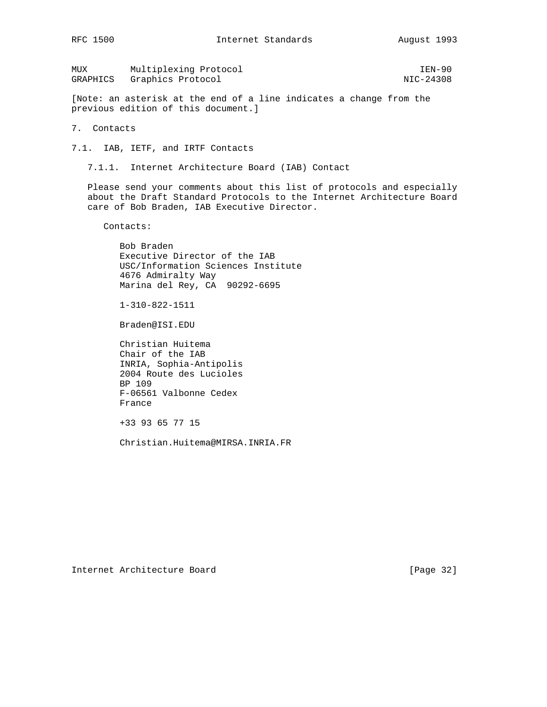MUX Multiplexing Protocol **IEN-90** GRAPHICS Graphics Protocol NIC-24308

[Note: an asterisk at the end of a line indicates a change from the previous edition of this document.]

7. Contacts

7.1. IAB, IETF, and IRTF Contacts

7.1.1. Internet Architecture Board (IAB) Contact

 Please send your comments about this list of protocols and especially about the Draft Standard Protocols to the Internet Architecture Board care of Bob Braden, IAB Executive Director.

Contacts:

 Bob Braden Executive Director of the IAB USC/Information Sciences Institute 4676 Admiralty Way Marina del Rey, CA 90292-6695

1-310-822-1511

Braden@ISI.EDU

 Christian Huitema Chair of the IAB INRIA, Sophia-Antipolis 2004 Route des Lucioles BP 109 F-06561 Valbonne Cedex France

+33 93 65 77 15

Christian.Huitema@MIRSA.INRIA.FR

Internet Architecture Board [Page 32]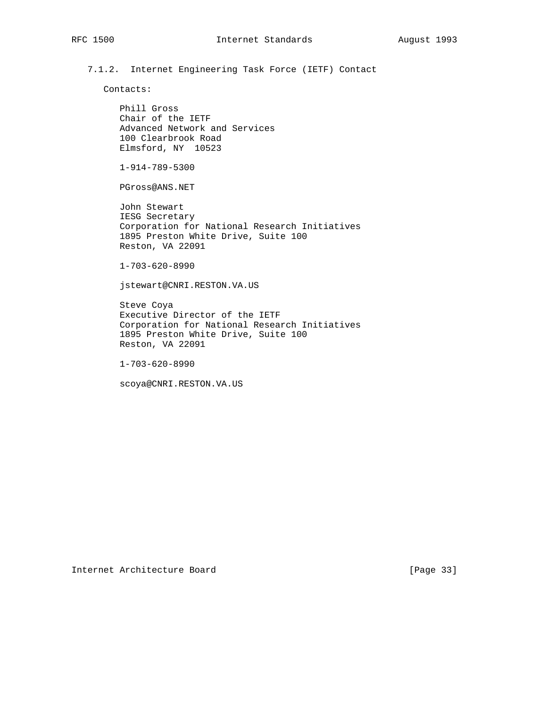7.1.2. Internet Engineering Task Force (IETF) Contact

Contacts:

 Phill Gross Chair of the IETF Advanced Network and Services 100 Clearbrook Road Elmsford, NY 10523

1-914-789-5300

PGross@ANS.NET

 John Stewart IESG Secretary Corporation for National Research Initiatives 1895 Preston White Drive, Suite 100 Reston, VA 22091

1-703-620-8990

jstewart@CNRI.RESTON.VA.US

 Steve Coya Executive Director of the IETF Corporation for National Research Initiatives 1895 Preston White Drive, Suite 100 Reston, VA 22091

1-703-620-8990

scoya@CNRI.RESTON.VA.US

Internet Architecture Board [Page 33]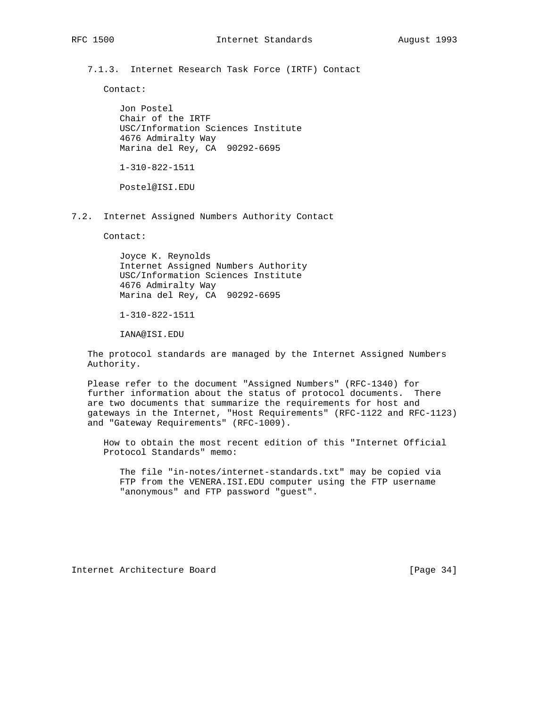7.1.3. Internet Research Task Force (IRTF) Contact

Contact:

 Jon Postel Chair of the IRTF USC/Information Sciences Institute 4676 Admiralty Way Marina del Rey, CA 90292-6695

1-310-822-1511

Postel@ISI.EDU

7.2. Internet Assigned Numbers Authority Contact

Contact:

 Joyce K. Reynolds Internet Assigned Numbers Authority USC/Information Sciences Institute 4676 Admiralty Way Marina del Rey, CA 90292-6695

1-310-822-1511

IANA@ISI.EDU

 The protocol standards are managed by the Internet Assigned Numbers Authority.

 Please refer to the document "Assigned Numbers" (RFC-1340) for further information about the status of protocol documents. There are two documents that summarize the requirements for host and gateways in the Internet, "Host Requirements" (RFC-1122 and RFC-1123) and "Gateway Requirements" (RFC-1009).

 How to obtain the most recent edition of this "Internet Official Protocol Standards" memo:

 The file "in-notes/internet-standards.txt" may be copied via FTP from the VENERA.ISI.EDU computer using the FTP username "anonymous" and FTP password "guest".

Internet Architecture Board [Page 34]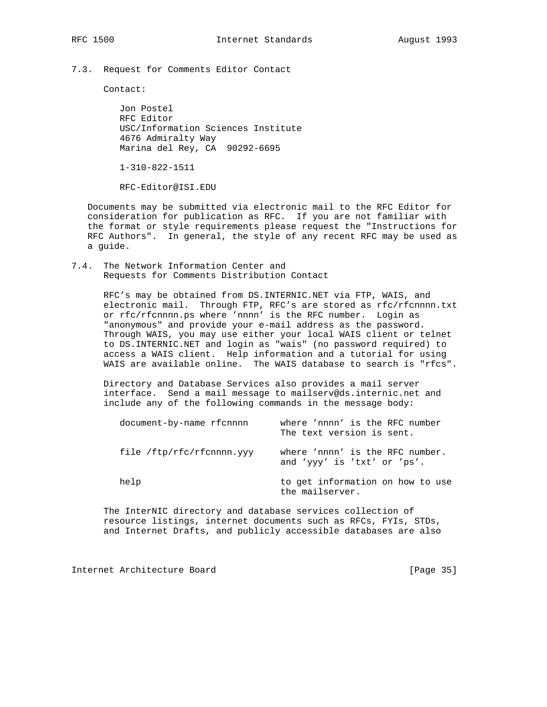7.3. Request for Comments Editor Contact

Contact:

 Jon Postel RFC Editor USC/Information Sciences Institute 4676 Admiralty Way Marina del Rey, CA 90292-6695

1-310-822-1511

RFC-Editor@ISI.EDU

 Documents may be submitted via electronic mail to the RFC Editor for consideration for publication as RFC. If you are not familiar with the format or style requirements please request the "Instructions for RFC Authors". In general, the style of any recent RFC may be used as a guide.

7.4. The Network Information Center and Requests for Comments Distribution Contact

> RFC's may be obtained from DS.INTERNIC.NET via FTP, WAIS, and electronic mail. Through FTP, RFC's are stored as rfc/rfcnnnn.txt or rfc/rfcnnnn.ps where 'nnnn' is the RFC number. Login as "anonymous" and provide your e-mail address as the password. Through WAIS, you may use either your local WAIS client or telnet to DS.INTERNIC.NET and login as "wais" (no password required) to access a WAIS client. Help information and a tutorial for using WAIS are available online. The WAIS database to search is "rfcs".

 Directory and Database Services also provides a mail server interface. Send a mail message to mailserv@ds.internic.net and include any of the following commands in the message body:

| document-by-name rfcnnnn  | where 'nnnn' is the RFC number<br>The text version is sent.    |
|---------------------------|----------------------------------------------------------------|
| file /ftp/rfc/rfcnnnn.yyy | where 'nnnn' is the RFC number.<br>and 'yyy' is 'txt' or 'ps'. |
| help                      | to get information on how to use<br>the mailserver.            |

 The InterNIC directory and database services collection of resource listings, internet documents such as RFCs, FYIs, STDs, and Internet Drafts, and publicly accessible databases are also

Internet Architecture Board [Page 35]